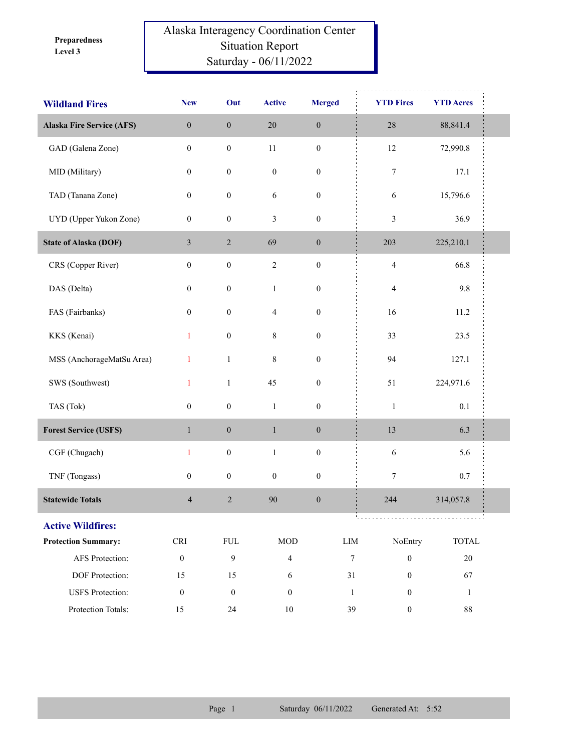**Level 3 Preparedness** 

## Alaska Interagency Coordination Center Situation Report Saturday - 06/11/2022

| <b>Wildland Fires</b>            | <b>New</b>                  | Out              | <b>Active</b>    | <b>Merged</b>    | <b>YTD Fires</b>                     | <b>YTD Acres</b>            |
|----------------------------------|-----------------------------|------------------|------------------|------------------|--------------------------------------|-----------------------------|
| <b>Alaska Fire Service (AFS)</b> | $\boldsymbol{0}$            | $\boldsymbol{0}$ | $20\,$           | $\boldsymbol{0}$ | $28\,$                               | 88,841.4                    |
| GAD (Galena Zone)                | $\boldsymbol{0}$            | $\boldsymbol{0}$ | $11\,$           | $\boldsymbol{0}$ | $12\,$                               | 72,990.8                    |
| MID (Military)                   | $\boldsymbol{0}$            | $\boldsymbol{0}$ | $\boldsymbol{0}$ | $\boldsymbol{0}$ | 7                                    | 17.1                        |
| TAD (Tanana Zone)                | $\boldsymbol{0}$            | $\boldsymbol{0}$ | 6                | $\boldsymbol{0}$ | 6                                    | 15,796.6                    |
| UYD (Upper Yukon Zone)           | $\boldsymbol{0}$            | $\boldsymbol{0}$ | $\mathfrak{Z}$   | $\boldsymbol{0}$ | $\mathfrak{Z}$                       | 36.9                        |
| <b>State of Alaska (DOF)</b>     | $\mathfrak{Z}$              | $\sqrt{2}$       | 69               | $\boldsymbol{0}$ | 203                                  | 225,210.1                   |
| CRS (Copper River)               | $\boldsymbol{0}$            | $\boldsymbol{0}$ | $\overline{2}$   | $\boldsymbol{0}$ | $\overline{\mathbf{4}}$              | 66.8                        |
| DAS (Delta)                      | $\boldsymbol{0}$            | $\boldsymbol{0}$ | $\mathbf{1}$     | $\boldsymbol{0}$ | $\overline{4}$                       | 9.8                         |
| FAS (Fairbanks)                  | $\boldsymbol{0}$            | $\boldsymbol{0}$ | $\overline{4}$   | $\boldsymbol{0}$ | 16                                   | 11.2                        |
| KKS (Kenai)                      | $\mathbf{1}$                | $\boldsymbol{0}$ | 8                | $\boldsymbol{0}$ | 33                                   | 23.5                        |
| MSS (AnchorageMatSu Area)        | $\mathbf{1}$                | $\,1$            | $\,$ 8 $\,$      | $\boldsymbol{0}$ | 94                                   | 127.1                       |
| SWS (Southwest)                  | $\mathbf{1}$                | $\mathbf{1}$     | 45               | $\boldsymbol{0}$ | 51                                   | 224,971.6                   |
| TAS (Tok)                        | $\boldsymbol{0}$            | $\boldsymbol{0}$ | $\mathbf{1}$     | $\boldsymbol{0}$ | $\,1\,$                              | 0.1                         |
| <b>Forest Service (USFS)</b>     | $\,1$                       | $\boldsymbol{0}$ | $\,1\,$          | $\boldsymbol{0}$ | 13                                   | 6.3                         |
| CGF (Chugach)                    | $\mathbf{1}$                | $\boldsymbol{0}$ | $\,1$            | $\boldsymbol{0}$ | $\epsilon$                           | 5.6                         |
| TNF (Tongass)                    | $\boldsymbol{0}$            | $\boldsymbol{0}$ | $\boldsymbol{0}$ | $\boldsymbol{0}$ | 7                                    | 0.7                         |
| <b>Statewide Totals</b>          | $\overline{\mathcal{L}}$    | $\sqrt{2}$       | 90               | $\boldsymbol{0}$ | 244                                  | 314,057.8                   |
| <b>Active Wildfires:</b>         |                             |                  |                  |                  |                                      |                             |
| <b>Protection Summary:</b>       | $\ensuremath{\mathsf{CRI}}$ | <b>FUL</b>       | <b>MOD</b>       |                  | NoEntry<br>${\rm LIM}$               | $\ensuremath{\text{TOTAL}}$ |
| AFS Protection:                  | $\boldsymbol{0}$            | 9                | $\overline{4}$   |                  | $\boldsymbol{7}$<br>$\boldsymbol{0}$ | $20\,$                      |
| DOF Protection:                  | 15                          | 15               | 6                |                  | $31\,$<br>$\boldsymbol{0}$           | 67                          |
| <b>USFS</b> Protection:          | $\boldsymbol{0}$            | $\boldsymbol{0}$ | $\mathbf{0}$     |                  | $\mathbf{1}$<br>$\mathbf{0}$         | $\mathbf{1}$                |
| Protection Totals:               | 15                          | $24\,$           | $10\,$           |                  | 39<br>$\boldsymbol{0}$               | $88\,$                      |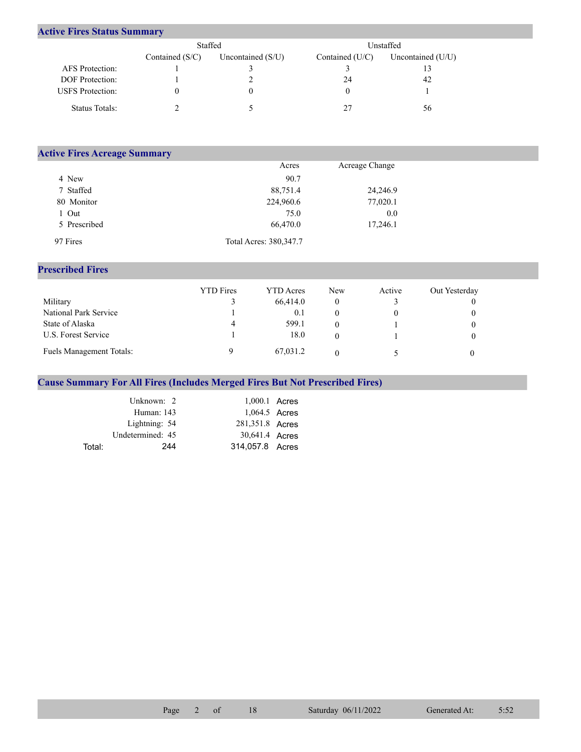## **Active Fires Status Summary**

|                         | Staffed           |                     | Unstaffed       |                   |  |  |
|-------------------------|-------------------|---------------------|-----------------|-------------------|--|--|
|                         | Contained $(S/C)$ | Uncontained $(S/U)$ | Contained (U/C) | Uncontained (U/U) |  |  |
| AFS Protection:         |                   |                     |                 |                   |  |  |
| <b>DOF</b> Protection:  |                   |                     | 24              | 42                |  |  |
| <b>USFS</b> Protection: |                   |                     |                 |                   |  |  |
| Status Totals:          |                   |                     | 27              | 56                |  |  |

| <b>Active Fires Acreage Summary</b> |                         |                |  |  |  |  |  |  |  |
|-------------------------------------|-------------------------|----------------|--|--|--|--|--|--|--|
|                                     | Acres                   | Acreage Change |  |  |  |  |  |  |  |
| 4 New                               | 90.7                    |                |  |  |  |  |  |  |  |
| 7 Staffed                           | 88,751.4                | 24,246.9       |  |  |  |  |  |  |  |
| 80 Monitor                          | 224,960.6               | 77,020.1       |  |  |  |  |  |  |  |
| 1 Out                               | 75.0                    | 0.0            |  |  |  |  |  |  |  |
| 5 Prescribed                        | 66,470.0                | 17,246.1       |  |  |  |  |  |  |  |
| 97 Fires                            | Total Acres: 380, 347.7 |                |  |  |  |  |  |  |  |

## **Prescribed Fires**

|                                 | <b>YTD</b> Fires | <b>YTD</b> Acres | New | Active | Out Yesterday |
|---------------------------------|------------------|------------------|-----|--------|---------------|
| Military                        |                  | 66,414.0         | 0   |        |               |
| National Park Service           |                  | 0.1              |     |        |               |
| State of Alaska                 | 4                | 599.1            | 0   |        |               |
| U.S. Forest Service             |                  | 18.0             | 0   |        |               |
| <b>Fuels Management Totals:</b> |                  | 67,031.2         |     |        |               |

## **Cause Summary For All Fires (Includes Merged Fires But Not Prescribed Fires)**

|        | Unknown: 2       | 1,000.1 Acres   |  |
|--------|------------------|-----------------|--|
|        | Human: 143       | 1,064.5 Acres   |  |
|        | Lightning: 54    | 281,351.8 Acres |  |
|        | Undetermined: 45 | 30,641.4 Acres  |  |
| Total: | 244              | 314,057.8 Acres |  |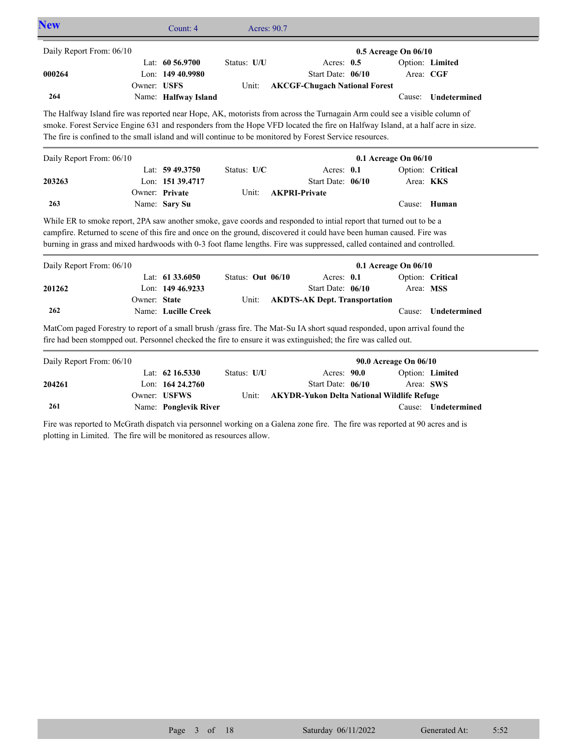| Daily Report From: 06/10                                                                                                                                                                                                                                                                                                                                              |              |                                       |                      |                                                                           |                       |                      |                     |
|-----------------------------------------------------------------------------------------------------------------------------------------------------------------------------------------------------------------------------------------------------------------------------------------------------------------------------------------------------------------------|--------------|---------------------------------------|----------------------|---------------------------------------------------------------------------|-----------------------|----------------------|---------------------|
|                                                                                                                                                                                                                                                                                                                                                                       |              |                                       |                      |                                                                           | 0.5 Acreage On 06/10  |                      |                     |
| 000264                                                                                                                                                                                                                                                                                                                                                                | Owner: USFS  | Lat: 60 56.9700<br>Lon: 149 40.9980   | Status: U/U<br>Unit: | Acres: $0.5$<br>Start Date: 06/10<br><b>AKCGF-Chugach National Forest</b> |                       | Area: CGF            | Option: Limited     |
| 264                                                                                                                                                                                                                                                                                                                                                                   |              | Name: Halfway Island                  |                      |                                                                           |                       | Cause:               | Undetermined        |
| The Halfway Island fire was reported near Hope, AK, motorists from across the Turnagain Arm could see a visible column of<br>smoke. Forest Service Engine 631 and responders from the Hope VFD located the fire on Halfway Island, at a half acre in size.<br>The fire is confined to the small island and will continue to be monitored by Forest Service resources. |              |                                       |                      |                                                                           |                       |                      |                     |
| Daily Report From: 06/10                                                                                                                                                                                                                                                                                                                                              |              |                                       |                      |                                                                           | 0.1 Acreage On 06/10  |                      |                     |
|                                                                                                                                                                                                                                                                                                                                                                       |              | Lat: 59 49.3750                       | Status: U/C          | Acres: $0.1$                                                              |                       |                      | Option: Critical    |
| 203263                                                                                                                                                                                                                                                                                                                                                                |              | Lon: 151 39.4717                      |                      | Start Date: 06/10                                                         |                       |                      | Area: KKS           |
| 263                                                                                                                                                                                                                                                                                                                                                                   |              | Owner: Private                        | Unit:                | <b>AKPRI-Private</b>                                                      |                       |                      |                     |
|                                                                                                                                                                                                                                                                                                                                                                       |              | Name: Sary Su                         |                      |                                                                           |                       | Cause:               | Human               |
| Daily Report From: 06/10                                                                                                                                                                                                                                                                                                                                              |              |                                       |                      |                                                                           |                       | 0.1 Acreage On 06/10 |                     |
|                                                                                                                                                                                                                                                                                                                                                                       |              |                                       |                      |                                                                           |                       |                      |                     |
|                                                                                                                                                                                                                                                                                                                                                                       |              | Lat: 61 33.6050                       | Status: Out 06/10    | Acres: 0.1                                                                |                       |                      | Option: Critical    |
| 201262                                                                                                                                                                                                                                                                                                                                                                | Owner: State | Lon: 149 46.9233                      | Unit:                | Start Date: 06/10                                                         |                       | Area: MSS            |                     |
| 262                                                                                                                                                                                                                                                                                                                                                                   |              | Name: Lucille Creek                   |                      | <b>AKDTS-AK Dept. Transportation</b>                                      |                       | Cause:               | Undetermined        |
| MatCom paged Forestry to report of a small brush /grass fire. The Mat-Su IA short squad responded, upon arrival found the<br>fire had been stompped out. Personnel checked the fire to ensure it was extinguished; the fire was called out.                                                                                                                           |              |                                       |                      |                                                                           |                       |                      |                     |
| Daily Report From: 06/10                                                                                                                                                                                                                                                                                                                                              |              |                                       |                      |                                                                           | 90.0 Acreage On 06/10 |                      |                     |
|                                                                                                                                                                                                                                                                                                                                                                       |              | Lat: 62 16.5330                       | Status: U/U          | Acres: 90.0                                                               |                       |                      | Option: Limited     |
| 204261                                                                                                                                                                                                                                                                                                                                                                |              | Lon: 164 24,2760                      |                      | Start Date: 06/10                                                         |                       |                      | Area: SWS           |
| 261                                                                                                                                                                                                                                                                                                                                                                   |              | Owner: USFWS<br>Name: Ponglevik River | Unit:                | <b>AKYDR-Yukon Delta National Wildlife Refuge</b>                         |                       |                      | Cause: Undetermined |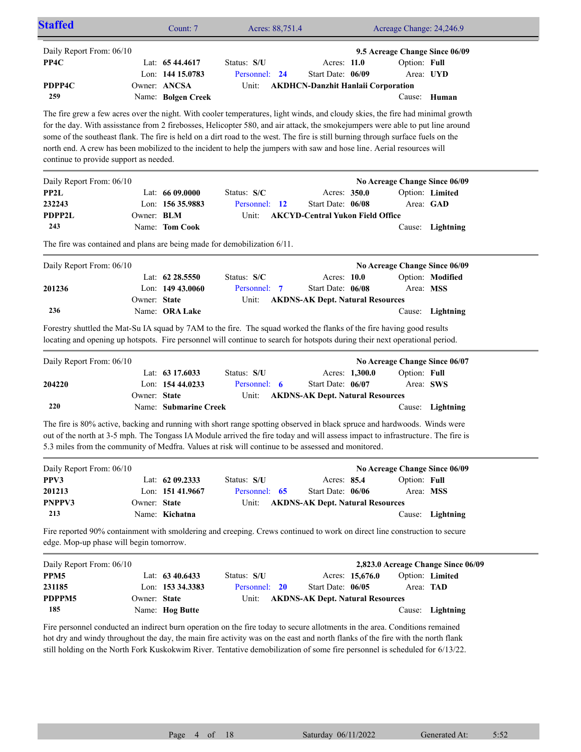| <b>Staffed</b>                                                                                                                                                                                                                                                                                                                                                                                                                                                                                                                                                           |                                                        | Count: 7                                                   |                                       | Acres: 88,751.4 |                                                                               |                 | Acreage Change: 24,246.9  |                                                                           |
|--------------------------------------------------------------------------------------------------------------------------------------------------------------------------------------------------------------------------------------------------------------------------------------------------------------------------------------------------------------------------------------------------------------------------------------------------------------------------------------------------------------------------------------------------------------------------|--------------------------------------------------------|------------------------------------------------------------|---------------------------------------|-----------------|-------------------------------------------------------------------------------|-----------------|---------------------------|---------------------------------------------------------------------------|
| Daily Report From: 06/10<br>PP4C<br>PDPP4C<br>259                                                                                                                                                                                                                                                                                                                                                                                                                                                                                                                        | Owner: ANCSA                                           | Lat: $6544.4617$<br>Lon: 144 15.0783<br>Name: Bolgen Creek | Status: S/U<br>Personnel: 24<br>Unit: |                 | Acres: 11.0<br>Start Date: 06/09<br><b>AKDHCN-Danzhit Hanlaii Corporation</b> |                 | Option: Full<br>Area: UYD | 9.5 Acreage Change Since 06/09<br>Cause: Human                            |
| The fire grew a few acres over the night. With cooler temperatures, light winds, and cloudy skies, the fire had minimal growth<br>for the day. With assisstance from 2 firebosses, Helicopter 580, and air attack, the smokejumpers were able to put line around<br>some of the southeast flank. The fire is held on a dirt road to the west. The fire is still burning through surface fuels on the<br>north end. A crew has been mobilized to the incident to help the jumpers with saw and hose line. Aerial resources will<br>continue to provide support as needed. |                                                        |                                                            |                                       |                 |                                                                               |                 |                           |                                                                           |
| Daily Report From: 06/10<br>PP2L<br>232243<br>PDPP2L<br>243                                                                                                                                                                                                                                                                                                                                                                                                                                                                                                              | Lat: 66 09.0000<br>Owner: <b>BLM</b><br>Name: Tom Cook | Lon: 156 35.9883                                           | Status: S/C<br>Personnel: 12<br>Unit: |                 | Acres: 350.0<br>Start Date: 06/08<br><b>AKCYD-Central Yukon Field Office</b>  |                 | Area: GAD                 | No Acreage Change Since 06/09<br>Option: Limited<br>Cause: Lightning      |
| The fire was contained and plans are being made for demobilization 6/11.                                                                                                                                                                                                                                                                                                                                                                                                                                                                                                 |                                                        |                                                            |                                       |                 |                                                                               |                 |                           |                                                                           |
| Daily Report From: 06/10<br>201236                                                                                                                                                                                                                                                                                                                                                                                                                                                                                                                                       | Owner: State                                           | Lat: 62 28.5550<br>Lon: 149 43.0060                        | Status: S/C<br>Personnel: 7<br>Unit:  |                 | Acres: 10.0<br>Start Date: 06/08<br><b>AKDNS-AK Dept. Natural Resources</b>   |                 | Area: MSS                 | No Acreage Change Since 06/09<br>Option: Modified                         |
| 236<br>Forestry shuttled the Mat-Su IA squad by 7AM to the fire. The squad worked the flanks of the fire having good results<br>locating and opening up hotspots. Fire personnel will continue to search for hotspots during their next operational period.                                                                                                                                                                                                                                                                                                              | Name: <b>ORA Lake</b>                                  |                                                            |                                       |                 |                                                                               |                 |                           | Cause: Lightning                                                          |
| Daily Report From: 06/10                                                                                                                                                                                                                                                                                                                                                                                                                                                                                                                                                 |                                                        | Lat: 63 17.6033                                            | Status: S/U                           |                 | Acres: 1,300.0                                                                |                 | Option: Full              | No Acreage Change Since 06/07                                             |
| 204220<br>220                                                                                                                                                                                                                                                                                                                                                                                                                                                                                                                                                            | Owner: State                                           | Lon: 154 44.0233<br>Name: Submarine Creek                  | Personnel: 6<br>Unit:                 |                 | Start Date: 06/07<br><b>AKDNS-AK Dept. Natural Resources</b>                  |                 | Area: SWS                 | Cause: Lightning                                                          |
| The fire is 80% active, backing and running with short range spotting observed in black spruce and hardwoods. Winds were<br>out of the north at 3-5 mph. The Tongass IA Module arrived the fire today and will assess impact to infrastructure. The fire is<br>5.3 miles from the community of Medfra. Values at risk will continue to be assessed and monitored.                                                                                                                                                                                                        |                                                        |                                                            |                                       |                 |                                                                               |                 |                           |                                                                           |
| Daily Report From: 06/10<br>PPV3<br>201213<br>PNPPV3<br>213                                                                                                                                                                                                                                                                                                                                                                                                                                                                                                              | Owner: State<br>Name: Kichatna                         | Lat: 62 09.2333<br>Lon: 151 41.9667                        | Status: S/U<br>Personnel: 65<br>Unit: |                 | Acres: 85.4<br>Start Date: 06/06<br><b>AKDNS-AK Dept. Natural Resources</b>   |                 | Option: Full<br>Area: MSS | No Acreage Change Since 06/09<br>Cause: Lightning                         |
| Fire reported 90% containment with smoldering and creeping. Crews continued to work on direct line construction to secure<br>edge. Mop-up phase will begin tomorrow.                                                                                                                                                                                                                                                                                                                                                                                                     |                                                        |                                                            |                                       |                 |                                                                               |                 |                           |                                                                           |
| Daily Report From: 06/10<br>PPM5<br>231185<br>PDPPM5<br>185                                                                                                                                                                                                                                                                                                                                                                                                                                                                                                              | Owner: State<br>Name: Hog Butte                        | Lat: 63 40.6433<br>Lon: 153 34.3383                        | Status: S/U<br>Personnel: 20<br>Unit: |                 | Start Date: 06/05<br><b>AKDNS-AK Dept. Natural Resources</b>                  | Acres: 15,676.0 | Area: TAD                 | 2,823.0 Acreage Change Since 06/09<br>Option: Limited<br>Cause: Lightning |

Fire personnel conducted an indirect burn operation on the fire today to secure allotments in the area. Conditions remained hot dry and windy throughout the day, the main fire activity was on the east and north flanks of the fire with the north flank still holding on the North Fork Kuskokwim River. Tentative demobilization of some fire personnel is scheduled for 6/13/22.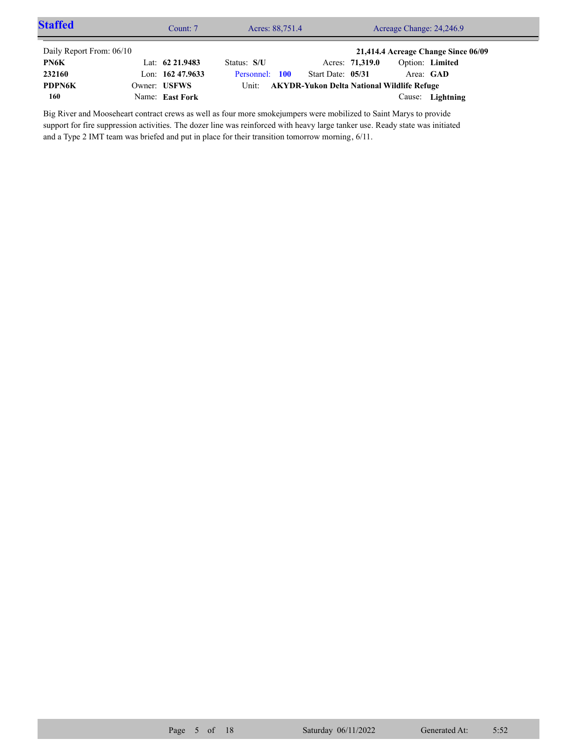| <b>Staffed</b>           | Count: 7           | Acres: 88,751.4 | Acreage Change: 24,246.9                   |                 |                 |                                     |  |
|--------------------------|--------------------|-----------------|--------------------------------------------|-----------------|-----------------|-------------------------------------|--|
| Daily Report From: 06/10 |                    |                 |                                            |                 |                 | 21,414.4 Acreage Change Since 06/09 |  |
| PN6K                     | Lat: $62\,21.9483$ | Status: S/U     |                                            | Acres: 71,319.0 | Option: Limited |                                     |  |
| 232160                   | Lon: $16247.9633$  | Personnel: 100  | Start Date: 05/31                          |                 | Area: GAD       |                                     |  |
| <b>PDPN6K</b>            | Owner: USFWS       | Unit:           | AKYDR-Yukon Delta National Wildlife Refuge |                 |                 |                                     |  |
| 160                      | Name: East Fork    |                 |                                            |                 |                 | Cause: Lightning                    |  |

Big River and Mooseheart contract crews as well as four more smokejumpers were mobilized to Saint Marys to provide support for fire suppression activities. The dozer line was reinforced with heavy large tanker use. Ready state was initiated and a Type 2 IMT team was briefed and put in place for their transition tomorrow morning, 6/11.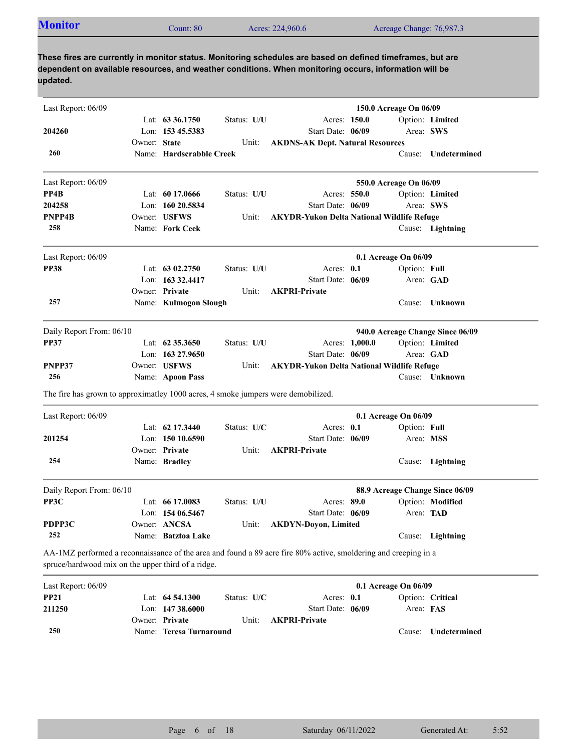| <b>Monitor</b><br>Acreage Change: 76,987.3<br>Acres: 224,960.6<br>Count: 80 |
|-----------------------------------------------------------------------------|
|-----------------------------------------------------------------------------|

| Last Report: 06/09                                                                |              |                                        |             |                                                                                                                 |                | 150.0 Acreage On 06/09 |                                  |
|-----------------------------------------------------------------------------------|--------------|----------------------------------------|-------------|-----------------------------------------------------------------------------------------------------------------|----------------|------------------------|----------------------------------|
| 204260                                                                            |              | Lat: $63\,36.1750$<br>Lon: 153 45.5383 | Status: U/U | Acres: 150.0<br>Start Date: 06/09                                                                               |                | Area: SWS              | Option: Limited                  |
| 260                                                                               | Owner: State | Name: Hardscrabble Creek               | Unit:       | <b>AKDNS-AK Dept. Natural Resources</b>                                                                         |                |                        | Cause: Undetermined              |
| Last Report: 06/09                                                                |              |                                        |             |                                                                                                                 |                | 550.0 Acreage On 06/09 |                                  |
| PP4B                                                                              |              | Lat: $6017.0666$                       | Status: U/U | Acres: 550.0                                                                                                    |                |                        | Option: Limited                  |
| 204258                                                                            |              | Lon: $16020.5834$                      |             | Start Date: 06/09                                                                                               |                | Area: SWS              |                                  |
| PNPP4B                                                                            |              | Owner: USFWS                           | Unit:       | <b>AKYDR-Yukon Delta National Wildlife Refuge</b>                                                               |                |                        |                                  |
| 258                                                                               |              | Name: Fork Ceek                        |             |                                                                                                                 |                |                        | Cause: Lightning                 |
| Last Report: 06/09                                                                |              |                                        |             |                                                                                                                 |                | 0.1 Acreage On 06/09   |                                  |
| <b>PP38</b>                                                                       |              | Lat: $6302,2750$                       | Status: U/U | Acres: 0.1                                                                                                      |                | Option: Full           |                                  |
|                                                                                   |              | Lon: 163 32.4417                       |             | Start Date: 06/09                                                                                               |                |                        | Area: GAD                        |
|                                                                                   |              | Owner: Private                         | Unit:       | <b>AKPRI-Private</b>                                                                                            |                |                        |                                  |
| 257                                                                               |              | Name: Kulmogon Slough                  |             |                                                                                                                 |                |                        | Cause: Unknown                   |
| Daily Report From: 06/10                                                          |              |                                        |             |                                                                                                                 |                |                        | 940.0 Acreage Change Since 06/09 |
| <b>PP37</b>                                                                       |              | Lat: $62\,35.3650$                     | Status: U/U |                                                                                                                 | Acres: 1,000.0 |                        | Option: Limited                  |
|                                                                                   |              | Lon: 163 27.9650                       |             | Start Date: 06/09                                                                                               |                |                        | Area: GAD                        |
| PNPP37                                                                            |              | Owner: USFWS                           | Unit:       | <b>AKYDR-Yukon Delta National Wildlife Refuge</b>                                                               |                |                        |                                  |
| 256                                                                               |              | Name: Apoon Pass                       |             |                                                                                                                 |                |                        | Cause: Unknown                   |
| The fire has grown to approximatley 1000 acres, 4 smoke jumpers were demobilized. |              |                                        |             |                                                                                                                 |                |                        |                                  |
| Last Report: 06/09                                                                |              |                                        |             |                                                                                                                 |                | 0.1 Acreage On 06/09   |                                  |
|                                                                                   |              | Lat: $62$ 17.3440                      | Status: U/C | Acres: 0.1                                                                                                      |                | Option: Full           |                                  |
| 201254                                                                            |              | Lon: 150 10.6590                       |             | Start Date: 06/09                                                                                               |                | Area: MSS              |                                  |
|                                                                                   |              | Owner: Private                         | Unit:       | <b>AKPRI-Private</b>                                                                                            |                |                        |                                  |
| 254                                                                               |              | Name: Bradley                          |             |                                                                                                                 |                |                        | Cause: Lightning                 |
| Daily Report From: 06/10                                                          |              |                                        |             |                                                                                                                 |                |                        | 88.9 Acreage Change Since 06/09  |
| PP3C                                                                              |              | Lat: 66 17.0083                        | Status: U/U | Acres: 89.0                                                                                                     |                |                        | Option: Modified                 |
|                                                                                   |              | Lon: 154 06.5467                       |             | Start Date: 06/09                                                                                               |                | Area: TAD              |                                  |
| PDPP3C                                                                            |              | Owner: ANCSA                           | Unit:       | <b>AKDYN-Doyon, Limited</b>                                                                                     |                |                        |                                  |
| 252                                                                               |              | Name: Batztoa Lake                     |             |                                                                                                                 |                |                        | Cause: Lightning                 |
| spruce/hardwood mix on the upper third of a ridge.                                |              |                                        |             | AA-1MZ performed a reconnaissance of the area and found a 89 acre fire 80% active, smoldering and creeping in a |                |                        |                                  |
| Last Report: 06/09                                                                |              |                                        |             |                                                                                                                 |                | 0.1 Acreage On 06/09   |                                  |
| <b>PP21</b>                                                                       |              | Lat: 64 54.1300                        | Status: U/C | Acres: 0.1                                                                                                      |                |                        | Option: Critical                 |
| 211250                                                                            |              | Lon: 147 38.6000                       |             | Start Date: 06/09                                                                                               |                | Area: FAS              |                                  |
|                                                                                   |              | Owner: Private                         | Unit:       | <b>AKPRI-Private</b>                                                                                            |                |                        |                                  |

Name: **Teresa Turnaround**

**250**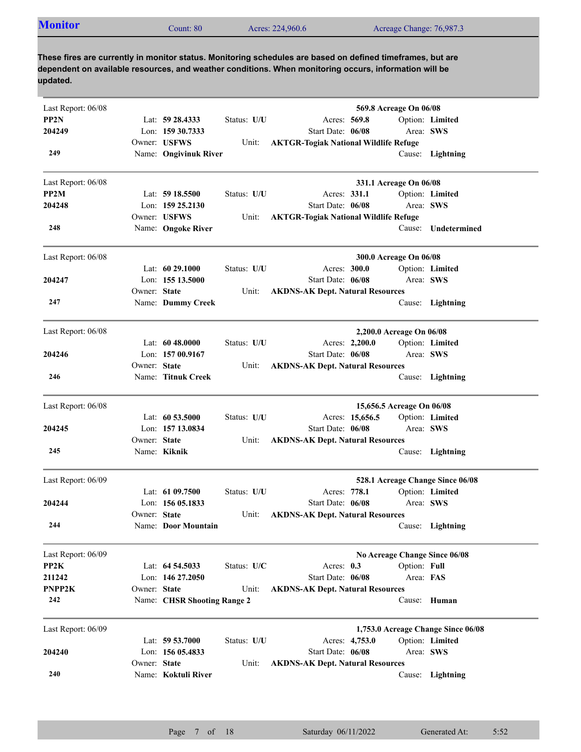| <b>Monitor</b><br>Acres: 224,960.6<br>Acreage Change: 76,987.3<br>Count: 80 |
|-----------------------------------------------------------------------------|
|-----------------------------------------------------------------------------|

| Last Report: 06/08 |              |                             |             |                                              | 569.8 Acreage On 06/08    |                                    |
|--------------------|--------------|-----------------------------|-------------|----------------------------------------------|---------------------------|------------------------------------|
| PP2N               |              | Lat: 59 28.4333             | Status: U/U | Acres: 569.8                                 |                           | Option: Limited                    |
| 204249             |              | Lon: 159 30.7333            |             | Start Date: 06/08                            | Area: SWS                 |                                    |
|                    |              | Owner: USFWS                | Unit:       | <b>AKTGR-Togiak National Wildlife Refuge</b> |                           |                                    |
| 249                |              | Name: Ongivinuk River       |             |                                              |                           | Cause: Lightning                   |
| Last Report: 06/08 |              |                             |             |                                              | 331.1 Acreage On 06/08    |                                    |
| PP2M               |              | Lat: $5918.5500$            | Status: U/U | Acres: 331.1                                 |                           | Option: Limited                    |
| 204248             |              | Lon: 159 25.2130            |             | Start Date: 06/08                            | Area: SWS                 |                                    |
|                    |              | Owner: USFWS                | Unit:       | <b>AKTGR-Togiak National Wildlife Refuge</b> |                           |                                    |
| 248                |              | Name: Ongoke River          |             |                                              |                           | Cause: Undetermined                |
| Last Report: 06/08 |              |                             |             |                                              | 300.0 Acreage On 06/08    |                                    |
|                    |              | Lat: $6029.1000$            | Status: U/U | Acres: 300.0                                 |                           | Option: Limited                    |
| 204247             |              | Lon: 155 13.5000            |             | Start Date: 06/08                            | Area: SWS                 |                                    |
|                    | Owner: State |                             | Unit:       | <b>AKDNS-AK Dept. Natural Resources</b>      |                           |                                    |
| 247                |              | Name: Dummy Creek           |             |                                              |                           | Cause: Lightning                   |
| Last Report: 06/08 |              |                             |             |                                              | 2,200.0 Acreage On 06/08  |                                    |
|                    |              | Lat: $6048.0000$            | Status: U/U | Acres: 2,200.0                               |                           | Option: Limited                    |
| 204246             |              | Lon: 157 00.9167            |             | Start Date: 06/08                            | Area: SWS                 |                                    |
|                    | Owner: State |                             | Unit:       | <b>AKDNS-AK Dept. Natural Resources</b>      |                           |                                    |
| 246                |              | Name: Titnuk Creek          |             |                                              |                           | Cause: Lightning                   |
| Last Report: 06/08 |              |                             |             |                                              | 15,656.5 Acreage On 06/08 |                                    |
|                    |              | Lat: 60 53.5000             | Status: U/U | Acres: 15,656.5                              |                           | Option: Limited                    |
| 204245             |              | Lon: 157 13.0834            |             | Start Date: 06/08                            | Area: SWS                 |                                    |
|                    | Owner: State |                             | Unit:       | <b>AKDNS-AK Dept. Natural Resources</b>      |                           |                                    |
| 245                |              | Name: Kiknik                |             |                                              |                           | Cause: Lightning                   |
| Last Report: 06/09 |              |                             |             |                                              |                           | 528.1 Acreage Change Since 06/08   |
|                    |              | Lat: $6109.7500$            | Status: U/U | Acres: 778.1                                 |                           | Option: Limited                    |
| 204244             |              | Lon: 156 05.1833            |             | Start Date: 06/08                            | Area: SWS                 |                                    |
|                    | Owner: State |                             | Unit:       | <b>AKDNS-AK Dept. Natural Resources</b>      |                           |                                    |
| 244                |              | Name: Door Mountain         |             |                                              |                           | Cause: Lightning                   |
| Last Report: 06/09 |              |                             |             |                                              |                           | No Acreage Change Since 06/08      |
| PP2K               |              | Lat: 64 54.5033             | Status: U/C | Acres: 0.3                                   | Option: Full              |                                    |
| 211242             |              | Lon: 146 27,2050            |             | Start Date: 06/08                            | Area: FAS                 |                                    |
| PNPP2K             | Owner: State |                             | Unit:       | <b>AKDNS-AK Dept. Natural Resources</b>      |                           |                                    |
| 242                |              | Name: CHSR Shooting Range 2 |             |                                              | Cause:                    | Human                              |
| Last Report: 06/09 |              |                             |             |                                              |                           | 1,753.0 Acreage Change Since 06/08 |
|                    |              | Lat: $59\,53.7000$          | Status: U/U | Acres: 4,753.0                               |                           | Option: Limited                    |
| 204240             |              | Lon: 156 05.4833            |             | Start Date: 06/08                            | Area: SWS                 |                                    |
|                    | Owner: State |                             | Unit:       | <b>AKDNS-AK Dept. Natural Resources</b>      |                           |                                    |
| 240                |              | Name: Koktuli River         |             |                                              |                           | Cause: Lightning                   |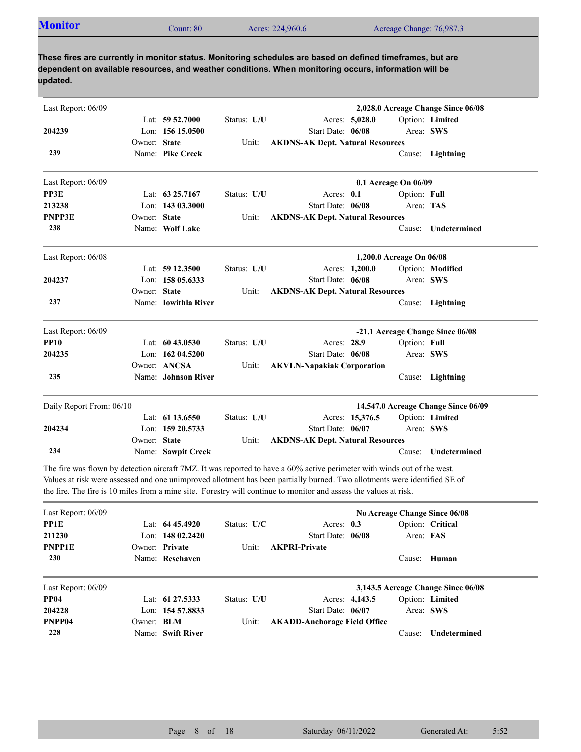| <b>Monitor</b><br>Acres: 224,960.6<br>Acreage Change: 76,987.3<br>Count: 80 |  |
|-----------------------------------------------------------------------------|--|
|-----------------------------------------------------------------------------|--|

| Last Report: 06/09       |              |                      |             |                                         |                 |                          | 2,028.0 Acreage Change Since 06/08  |
|--------------------------|--------------|----------------------|-------------|-----------------------------------------|-----------------|--------------------------|-------------------------------------|
|                          |              | Lat: $59\,52.7000$   | Status: U/U | Acres: 5,028.0                          |                 |                          | Option: Limited                     |
| 204239                   |              | Lon: $15615.0500$    |             | Start Date: 06/08                       |                 | Area: SWS                |                                     |
|                          | Owner: State |                      | Unit:       | <b>AKDNS-AK Dept. Natural Resources</b> |                 |                          |                                     |
| 239                      |              | Name: Pike Creek     |             |                                         |                 |                          | Cause: Lightning                    |
| Last Report: 06/09       |              |                      |             |                                         |                 | 0.1 Acreage On 06/09     |                                     |
| PP3E                     |              | Lat: 63 25,7167      | Status: U/U | Acres: 0.1                              |                 | Option: Full             |                                     |
| 213238                   |              | Lon: 143 03.3000     |             | Start Date: 06/08                       |                 | Area: TAS                |                                     |
| <b>PNPP3E</b>            | Owner: State |                      | Unit:       | <b>AKDNS-AK Dept. Natural Resources</b> |                 |                          |                                     |
| 238                      |              | Name: Wolf Lake      |             |                                         |                 | Cause:                   | <b>Undetermined</b>                 |
| Last Report: 06/08       |              |                      |             |                                         |                 | 1,200.0 Acreage On 06/08 |                                     |
|                          |              | Lat: 59 12.3500      | Status: U/U |                                         | Acres: 1,200.0  |                          | Option: Modified                    |
| 204237                   |              | Lon: $15805.6333$    |             | Start Date: 06/08                       |                 | Area: SWS                |                                     |
|                          | Owner: State |                      | Unit:       | <b>AKDNS-AK Dept. Natural Resources</b> |                 |                          |                                     |
| 237                      |              | Name: Iowithla River |             |                                         |                 |                          | Cause: Lightning                    |
| Last Report: 06/09       |              |                      |             |                                         |                 |                          | -21.1 Acreage Change Since 06/08    |
| <b>PP10</b>              |              | Lat: $6043.0530$     | Status: U/U | Acres: 28.9                             |                 | Option: Full             |                                     |
| 204235                   |              | Lon: 162 04.5200     |             | Start Date: 06/08                       |                 |                          | Area: SWS                           |
|                          |              | Owner: ANCSA         | Unit:       | <b>AKVLN-Napakiak Corporation</b>       |                 |                          |                                     |
| 235                      |              | Name: Johnson River  |             |                                         |                 |                          | Cause: Lightning                    |
| Daily Report From: 06/10 |              |                      |             |                                         |                 |                          | 14,547.0 Acreage Change Since 06/09 |
|                          |              | Lat: 61 13.6550      | Status: U/U |                                         | Acres: 15,376.5 |                          | Option: Limited                     |
| 204234                   |              | Lon: 159 20.5733     |             | Start Date: 06/07                       |                 | Area: SWS                |                                     |
|                          | Owner: State |                      | Unit:       | <b>AKDNS-AK Dept. Natural Resources</b> |                 |                          |                                     |
| 234                      |              | Name: Sawpit Creek   |             |                                         |                 | Cause:                   | Undetermined                        |

The fire was flown by detection aircraft 7MZ. It was reported to have a 60% active perimeter with winds out of the west. Values at risk were assessed and one unimproved allotment has been partially burned. Two allotments were identified SE of the fire. The fire is 10 miles from a mine site. Forestry will continue to monitor and assess the values at risk.

| Last Report: $06/09$ |                   |                    |               |                                     |                |           | No Acreage Change Since 06/08      |
|----------------------|-------------------|--------------------|---------------|-------------------------------------|----------------|-----------|------------------------------------|
| PP1E                 |                   | Lat: $6445.4920$   | Status: $U/C$ | Acres: $0.3$                        |                |           | Option: Critical                   |
| 211230               |                   | Lon: $14802.2420$  |               | Start Date: 06/08                   |                | Area: FAS |                                    |
| <b>PNPP1E</b>        |                   | Owner: Private     | Unit:         | <b>AKPRI-Private</b>                |                |           |                                    |
| 230                  |                   | Name: Reschaven    |               |                                     |                |           | Cause: Human                       |
| Last Report: $06/09$ |                   |                    |               |                                     |                |           | 3,143.5 Acreage Change Since 06/08 |
| <b>PP04</b>          |                   | Lat: $61\,27.5333$ | Status: U/U   |                                     | Acres: 4,143.5 |           | Option: Limited                    |
| 204228               |                   | Lon: $15457.8833$  |               | Start Date: 06/07                   |                | Area: SWS |                                    |
| PNPP04               | Owner: <b>BLM</b> |                    | Unit:         | <b>AKADD-Anchorage Field Office</b> |                |           |                                    |
| 228                  |                   | Name: Swift River  |               |                                     |                | Cause:    | <b>Undetermined</b>                |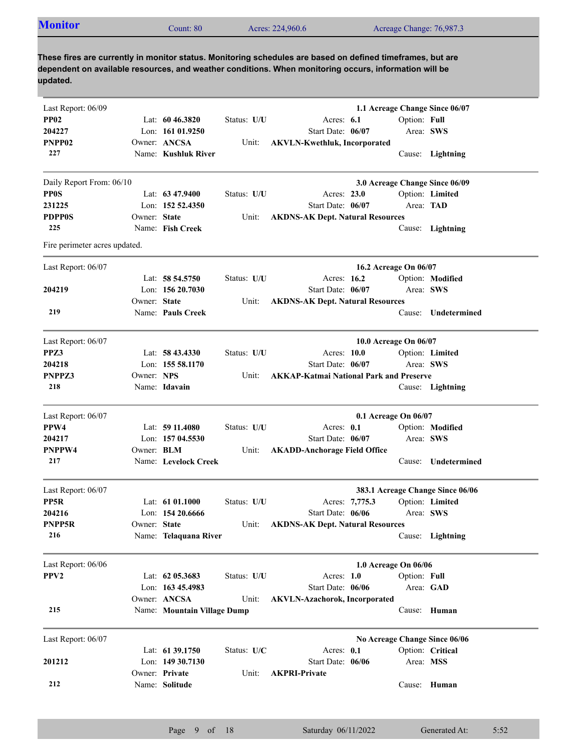| <b>Monitor</b> | $\mathcal$ Count: $80^\circ$ | Acres: 224,960.6 | Acreage Change: 76,987.3 |
|----------------|------------------------------|------------------|--------------------------|
|                |                              |                  |                          |

| Last Report: 06/09            |              |                             |             |                                                |                       |              | 1.1 Acreage Change Since 06/07   |
|-------------------------------|--------------|-----------------------------|-------------|------------------------------------------------|-----------------------|--------------|----------------------------------|
| <b>PP02</b>                   |              | Lat: $60\,46.3820$          | Status: U/U | Acres: $6.1$                                   |                       | Option: Full |                                  |
| 204227                        |              | Lon: 161 01.9250            |             | Start Date: 06/07                              |                       | Area: SWS    |                                  |
| PNPP <sub>02</sub>            |              | Owner: ANCSA                | Unit:       | <b>AKVLN-Kwethluk, Incorporated</b>            |                       |              |                                  |
| 227                           |              | Name: Kushluk River         |             |                                                |                       |              | Cause: Lightning                 |
| Daily Report From: 06/10      |              |                             |             |                                                |                       |              | 3.0 Acreage Change Since 06/09   |
| <b>PPOS</b>                   |              | Lat: $63\,47.9400$          | Status: U/U | Acres: 23.0                                    |                       |              | Option: Limited                  |
| 231225                        |              | Lon: $152,52.4350$          |             | Start Date: 06/07                              |                       | Area: TAD    |                                  |
| <b>PDPP0S</b>                 | Owner: State |                             | Unit:       | <b>AKDNS-AK Dept. Natural Resources</b>        |                       |              |                                  |
| 225                           |              | Name: Fish Creek            |             |                                                |                       |              | Cause: Lightning                 |
| Fire perimeter acres updated. |              |                             |             |                                                |                       |              |                                  |
| Last Report: 06/07            |              |                             |             |                                                | 16.2 Acreage On 06/07 |              |                                  |
|                               |              | Lat: 58 54.5750             | Status: U/U | Acres: 16.2                                    |                       |              | Option: Modified                 |
| 204219                        |              | Lon: $15620.7030$           |             | Start Date: 06/07                              |                       | Area: SWS    |                                  |
|                               | Owner: State |                             | Unit:       | <b>AKDNS-AK Dept. Natural Resources</b>        |                       |              |                                  |
| 219                           |              | Name: Pauls Creek           |             |                                                |                       | Cause:       | Undetermined                     |
| Last Report: 06/07            |              |                             |             |                                                | 10.0 Acreage On 06/07 |              |                                  |
| PPZ3                          |              | Lat: $58\,43.4330$          | Status: U/U | Acres: 10.0                                    |                       |              | Option: Limited                  |
| 204218                        |              | Lon: 155 58.1170            |             | Start Date: 06/07                              |                       | Area: SWS    |                                  |
| PNPPZ3                        | Owner: NPS   |                             | Unit:       | <b>AKKAP-Katmai National Park and Preserve</b> |                       |              |                                  |
| 218                           |              | Name: Idavain               |             |                                                |                       |              | Cause: Lightning                 |
| Last Report: 06/07            |              |                             |             |                                                | 0.1 Acreage On 06/07  |              |                                  |
| PPW4                          |              | Lat: $5911.4080$            | Status: U/U | Acres: 0.1                                     |                       |              | Option: Modified                 |
| 204217                        |              | Lon: 157 04.5530            |             | Start Date: 06/07                              |                       | Area: SWS    |                                  |
| PNPPW4                        | Owner: BLM   |                             | Unit:       | <b>AKADD-Anchorage Field Office</b>            |                       |              |                                  |
| 217                           |              | Name: Levelock Creek        |             |                                                |                       | Cause:       | Undetermined                     |
| Last Report: 06/07            |              |                             |             |                                                |                       |              | 383.1 Acreage Change Since 06/06 |
| PP5R                          |              | Lat: $61\,01.1000$          | Status: U/U | Acres: 7,775.3                                 |                       |              | Option: Limited                  |
| 204216                        |              | Lon: $15420.6666$           |             | Start Date: 06/06                              |                       | Area: SWS    |                                  |
| PNPP5R                        | Owner: State |                             | Unit:       | <b>AKDNS-AK Dept. Natural Resources</b>        |                       |              |                                  |
| 216                           |              | Name: Telaquana River       |             |                                                |                       |              | Cause: Lightning                 |
| Last Report: 06/06            |              |                             |             |                                                | 1.0 Acreage On 06/06  |              |                                  |
| PPV <sub>2</sub>              |              | Lat: 62 05.3683             | Status: U/U | Acres: 1.0                                     |                       | Option: Full |                                  |
|                               |              | Lon: 163 45.4983            |             | Start Date: 06/06                              |                       |              | Area: GAD                        |
|                               |              | Owner: ANCSA                | Unit:       | <b>AKVLN-Azachorok, Incorporated</b>           |                       |              |                                  |
| 215                           |              | Name: Mountain Village Dump |             |                                                |                       |              | Cause: Human                     |
|                               |              |                             |             |                                                |                       |              |                                  |
| Last Report: 06/07            |              | Lat: 61 39.1750             |             |                                                |                       |              | No Acreage Change Since 06/06    |
|                               |              | Lon: 149 30.7130            | Status: U/C | Acres: 0.1                                     |                       |              | Option: Critical                 |
| 201212                        |              | Owner: Private              |             | Start Date: 06/06<br><b>AKPRI-Private</b>      |                       | Area: MSS    |                                  |
| 212                           |              | Name: Solitude              | Unit:       |                                                |                       |              | Cause: Human                     |
|                               |              |                             |             |                                                |                       |              |                                  |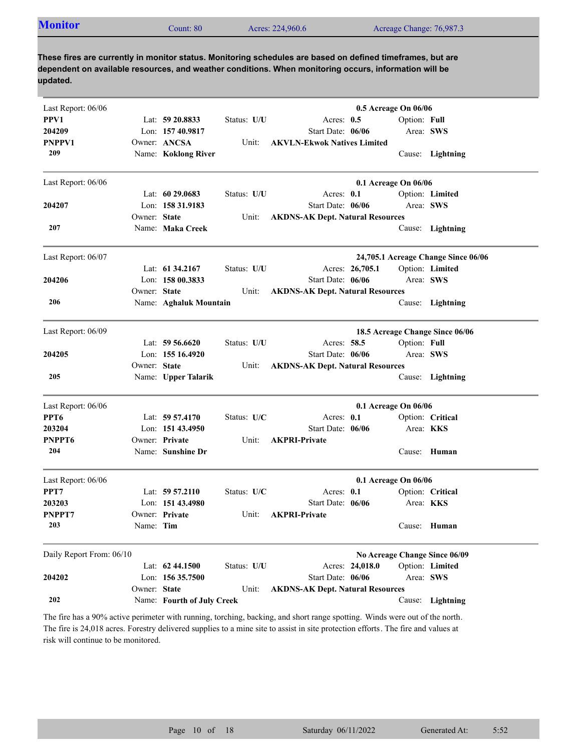| <b>Monitor</b><br>Acreage Change: 76,987.3<br>Acres: 224,960.6<br>Count: 80 |
|-----------------------------------------------------------------------------|
|-----------------------------------------------------------------------------|

| Last Report: 06/06       |              |                            |             |                                         | 0.5 Acreage On 06/06 |              |                                     |
|--------------------------|--------------|----------------------------|-------------|-----------------------------------------|----------------------|--------------|-------------------------------------|
| PPV1                     |              | Lat: 59 20.8833            | Status: U/U | Acres: $0.5$                            |                      | Option: Full |                                     |
| 204209                   |              | Lon: 157 40.9817           |             | Start Date: 06/06                       |                      |              | Area: SWS                           |
| <b>PNPPV1</b>            |              | Owner: ANCSA               | Unit:       | <b>AKVLN-Ekwok Natives Limited</b>      |                      |              |                                     |
| 209                      |              | Name: Koklong River        |             |                                         |                      |              | Cause: Lightning                    |
| Last Report: 06/06       |              |                            |             |                                         | 0.1 Acreage On 06/06 |              |                                     |
|                          |              | Lat: $60\,29.0683$         | Status: U/U | Acres: 0.1                              |                      |              | Option: Limited                     |
| 204207                   |              | Lon: 158 31.9183           |             | Start Date: 06/06                       |                      | Area: SWS    |                                     |
|                          | Owner: State |                            | Unit:       | <b>AKDNS-AK Dept. Natural Resources</b> |                      |              |                                     |
| 207                      |              | Name: Maka Creek           |             |                                         |                      |              | Cause: Lightning                    |
| Last Report: 06/07       |              |                            |             |                                         |                      |              | 24,705.1 Acreage Change Since 06/06 |
|                          |              | Lat: 61 34.2167            | Status: U/U |                                         | Acres: 26,705.1      |              | Option: Limited                     |
| 204206                   |              | Lon: $15800.3833$          |             | Start Date: 06/06                       |                      | Area: SWS    |                                     |
|                          | Owner: State |                            | Unit:       | <b>AKDNS-AK Dept. Natural Resources</b> |                      |              |                                     |
| 206                      |              | Name: Aghaluk Mountain     |             |                                         |                      |              | Cause: Lightning                    |
| Last Report: 06/09       |              |                            |             |                                         |                      |              | 18.5 Acreage Change Since 06/06     |
|                          |              | Lat: $59\,56.6620$         | Status: U/U | Acres: 58.5                             |                      | Option: Full |                                     |
| 204205                   |              | Lon: 155 16.4920           |             | Start Date: 06/06                       |                      | Area: SWS    |                                     |
|                          | Owner: State |                            | Unit:       | <b>AKDNS-AK Dept. Natural Resources</b> |                      |              |                                     |
| 205                      |              | Name: Upper Talarik        |             |                                         |                      |              | Cause: Lightning                    |
|                          |              |                            |             |                                         |                      |              |                                     |
| Last Report: 06/06       |              |                            |             |                                         | 0.1 Acreage On 06/06 |              |                                     |
| PPT <sub>6</sub>         |              | Lat: 59 57.4170            | Status: U/C | Acres: 0.1                              |                      |              | Option: Critical                    |
| 203204                   |              | Lon: 151 43.4950           |             | Start Date: 06/06                       |                      |              | Area: <b>KKS</b>                    |
| PNPPT6                   |              | Owner: Private             | Unit:       | <b>AKPRI-Private</b>                    |                      |              |                                     |
| 204                      |              | Name: Sunshine Dr          |             |                                         |                      |              | Cause: Human                        |
| Last Report: 06/06       |              |                            |             |                                         | 0.1 Acreage On 06/06 |              |                                     |
| PPT7                     |              | Lat: $59\,57.2110$         | Status: U/C | Acres: $0.1$                            |                      |              | Option: Critical                    |
| 203203                   |              | Lon: 151 43.4980           |             | Start Date: 06/06                       |                      |              | Area: <b>KKS</b>                    |
| PNPPT7                   |              | Owner: Private             | Unit:       | <b>AKPRI-Private</b>                    |                      |              |                                     |
| 203                      | Name: Tim    |                            |             |                                         |                      |              | Cause: Human                        |
| Daily Report From: 06/10 |              |                            |             |                                         |                      |              | No Acreage Change Since 06/09       |
|                          |              | Lat: 62 44.1500            | Status: U/U |                                         | Acres: 24,018.0      |              | Option: Limited                     |
| 204202                   |              | Lon: 156 35.7500           |             | Start Date: 06/06                       |                      |              | Area: SWS                           |
|                          | Owner: State |                            | Unit:       | <b>AKDNS-AK Dept. Natural Resources</b> |                      |              |                                     |
| 202                      |              | Name: Fourth of July Creek |             |                                         |                      | Cause:       | Lightning                           |

The fire has a 90% active perimeter with running, torching, backing, and short range spotting. Winds were out of the north. The fire is 24,018 acres. Forestry delivered supplies to a mine site to assist in site protection efforts. The fire and values at risk will continue to be monitored.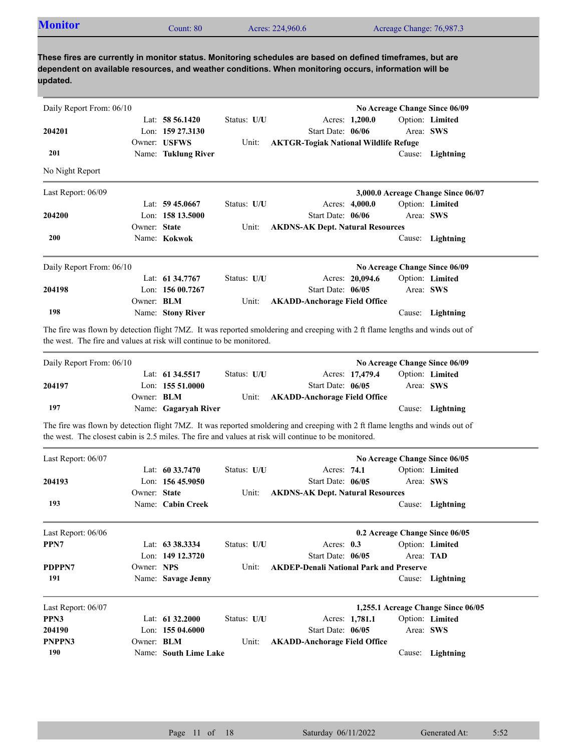| <b>Monitor</b> | Count: 80 | Acres: 224,960.6 | Acreage Change: 76,987.3 |  |
|----------------|-----------|------------------|--------------------------|--|
|----------------|-----------|------------------|--------------------------|--|

| Daily Report From: 06/10                                             |              |                       |             |                                                                                                                                                                                                                                      |           | No Acreage Change Since 06/09      |
|----------------------------------------------------------------------|--------------|-----------------------|-------------|--------------------------------------------------------------------------------------------------------------------------------------------------------------------------------------------------------------------------------------|-----------|------------------------------------|
|                                                                      |              | Lat: $58\,56.1420$    | Status: U/U | Acres: 1,200.0                                                                                                                                                                                                                       |           | Option: Limited                    |
| 204201                                                               |              | Lon: 159 27.3130      |             | Start Date: 06/06                                                                                                                                                                                                                    | Area: SWS |                                    |
|                                                                      |              | Owner: USFWS          | Unit:       | <b>AKTGR-Togiak National Wildlife Refuge</b>                                                                                                                                                                                         |           |                                    |
| 201                                                                  |              | Name: Tuklung River   |             |                                                                                                                                                                                                                                      |           | Cause: Lightning                   |
| No Night Report                                                      |              |                       |             |                                                                                                                                                                                                                                      |           |                                    |
| Last Report: 06/09                                                   |              |                       |             |                                                                                                                                                                                                                                      |           | 3,000.0 Acreage Change Since 06/07 |
|                                                                      |              | Lat: 59 45,0667       | Status: U/U | Acres: 4,000.0                                                                                                                                                                                                                       |           | Option: Limited                    |
| 204200                                                               |              | Lon: 158 13.5000      |             | Start Date: 06/06                                                                                                                                                                                                                    | Area: SWS |                                    |
|                                                                      | Owner: State |                       | Unit:       | <b>AKDNS-AK Dept. Natural Resources</b>                                                                                                                                                                                              |           |                                    |
| 200                                                                  |              | Name: Kokwok          |             |                                                                                                                                                                                                                                      |           | Cause: Lightning                   |
| Daily Report From: 06/10                                             |              |                       |             |                                                                                                                                                                                                                                      |           | No Acreage Change Since 06/09      |
|                                                                      |              | Lat: 61 34,7767       | Status: U/U | Acres: 20,094.6                                                                                                                                                                                                                      |           | Option: Limited                    |
| 204198                                                               |              | Lon: 156 00.7267      |             | Start Date: 06/05                                                                                                                                                                                                                    | Area: SWS |                                    |
|                                                                      | Owner: BLM   |                       | Unit:       | <b>AKADD-Anchorage Field Office</b>                                                                                                                                                                                                  |           |                                    |
| 198                                                                  |              | Name: Stony River     |             |                                                                                                                                                                                                                                      |           | Cause: Lightning                   |
| the west. The fire and values at risk will continue to be monitored. |              |                       |             | The fire was flown by detection flight 7MZ. It was reported smoldering and creeping with 2 ft flame lengths and winds out of                                                                                                         |           |                                    |
| Daily Report From: 06/10                                             |              |                       |             |                                                                                                                                                                                                                                      |           | No Acreage Change Since 06/09      |
|                                                                      |              | Lat: 61 34.5517       | Status: U/U | Acres: 17,479.4                                                                                                                                                                                                                      |           | Option: Limited                    |
| 204197                                                               |              | Lon: 155 51.0000      |             | Start Date: 06/05                                                                                                                                                                                                                    | Area: SWS |                                    |
|                                                                      | Owner: BLM   |                       | Unit:       | <b>AKADD-Anchorage Field Office</b>                                                                                                                                                                                                  |           |                                    |
| 197                                                                  |              | Name: Gagaryah River  |             |                                                                                                                                                                                                                                      |           | Cause: Lightning                   |
|                                                                      |              |                       |             | The fire was flown by detection flight 7MZ. It was reported smoldering and creeping with 2 ft flame lengths and winds out of<br>the west. The closest cabin is 2.5 miles. The fire and values at risk will continue to be monitored. |           |                                    |
| Last Report: 06/07                                                   |              |                       |             |                                                                                                                                                                                                                                      |           | No Acreage Change Since 06/05      |
|                                                                      |              | Lat: $60\,33.7470$    | Status: U/U | Acres: 74.1                                                                                                                                                                                                                          |           | Option: Limited                    |
| 204193                                                               |              | Lon: $15645.9050$     |             | Start Date: 06/05                                                                                                                                                                                                                    | Area: SWS |                                    |
|                                                                      | Owner: State |                       | Unit:       | <b>AKDNS-AK Dept. Natural Resources</b>                                                                                                                                                                                              |           |                                    |
| 193                                                                  |              | Name: Cabin Creek     |             |                                                                                                                                                                                                                                      |           | Cause: Lightning                   |
| Last Report: 06/06                                                   |              |                       |             |                                                                                                                                                                                                                                      |           | 0.2 Acreage Change Since 06/05     |
| PPN7                                                                 |              | Lat: 63 38.3334       | Status: U/U | Acres: 0.3                                                                                                                                                                                                                           |           | Option: Limited                    |
|                                                                      |              | Lon: 149 12.3720      |             | Start Date: 06/05                                                                                                                                                                                                                    | Area: TAD |                                    |
| PDPPN7                                                               | Owner: NPS   |                       | Unit:       | <b>AKDEP-Denali National Park and Preserve</b>                                                                                                                                                                                       |           |                                    |
| 191                                                                  |              | Name: Savage Jenny    |             |                                                                                                                                                                                                                                      |           | Cause: Lightning                   |
| Last Report: 06/07                                                   |              |                       |             |                                                                                                                                                                                                                                      |           | 1,255.1 Acreage Change Since 06/05 |
| PPN3                                                                 |              | Lat: 61 32.2000       | Status: U/U | Acres: 1,781.1                                                                                                                                                                                                                       |           | Option: Limited                    |
| 204190                                                               |              | Lon: 155 04.6000      |             | Start Date: 06/05                                                                                                                                                                                                                    | Area: SWS |                                    |
| PNPPN3                                                               | Owner: BLM   |                       | Unit:       | <b>AKADD-Anchorage Field Office</b>                                                                                                                                                                                                  |           |                                    |
| 190                                                                  |              | Name: South Lime Lake |             |                                                                                                                                                                                                                                      |           | Cause: Lightning                   |
|                                                                      |              |                       |             |                                                                                                                                                                                                                                      |           |                                    |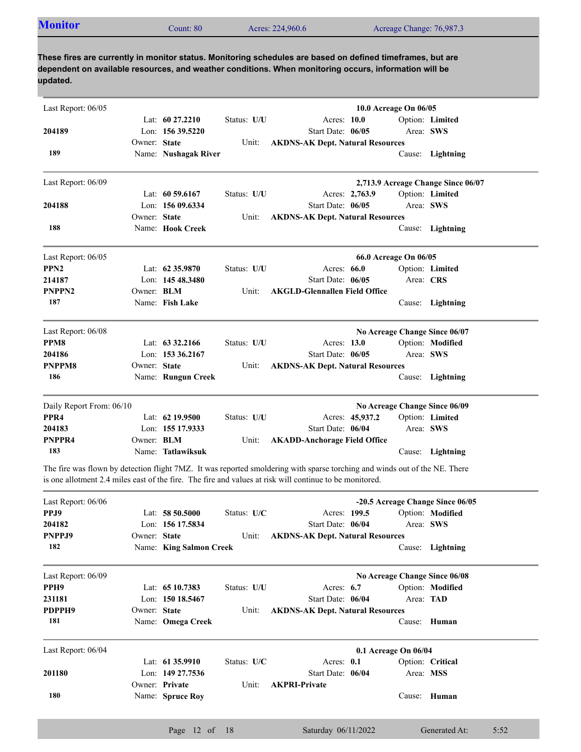| <b>Monitor</b><br>Acreage Change: 76,987.3<br>Acres: 224,960.6<br>Count: 80 |  |  |  |  |  |
|-----------------------------------------------------------------------------|--|--|--|--|--|
|-----------------------------------------------------------------------------|--|--|--|--|--|

| Last Report: 06/05       |              |                         |               |                                                                                                                                                                                                                                       |                 | 10.0 Acreage On 06/05 |                                    |
|--------------------------|--------------|-------------------------|---------------|---------------------------------------------------------------------------------------------------------------------------------------------------------------------------------------------------------------------------------------|-----------------|-----------------------|------------------------------------|
|                          |              | Lat: $60\,27.2210$      | Status: U/U   | Acres: 10.0                                                                                                                                                                                                                           |                 |                       | Option: Limited                    |
| 204189                   |              | Lon: $15639.5220$       |               | Start Date: 06/05                                                                                                                                                                                                                     |                 |                       | Area: SWS                          |
|                          | Owner: State |                         | Unit:         | <b>AKDNS-AK Dept. Natural Resources</b>                                                                                                                                                                                               |                 |                       |                                    |
| 189                      |              | Name: Nushagak River    |               |                                                                                                                                                                                                                                       |                 |                       | Cause: Lightning                   |
| Last Report: 06/09       |              |                         |               |                                                                                                                                                                                                                                       |                 |                       | 2,713.9 Acreage Change Since 06/07 |
|                          |              | Lat: $60\,59.6167$      | Status: U/U   |                                                                                                                                                                                                                                       | Acres: 2,763.9  |                       | Option: Limited                    |
| 204188                   |              | Lon: $15609.6334$       |               | Start Date: 06/05                                                                                                                                                                                                                     |                 |                       | Area: SWS                          |
|                          | Owner: State |                         | Unit:         | <b>AKDNS-AK Dept. Natural Resources</b>                                                                                                                                                                                               |                 |                       |                                    |
| 188                      |              | Name: Hook Creek        |               |                                                                                                                                                                                                                                       |                 |                       | Cause: Lightning                   |
| Last Report: 06/05       |              |                         |               |                                                                                                                                                                                                                                       |                 | 66.0 Acreage On 06/05 |                                    |
| PPN <sub>2</sub>         |              | Lat: 62 35.9870         | Status: U/U   | Acres: 66.0                                                                                                                                                                                                                           |                 |                       | Option: Limited                    |
| 214187                   |              | Lon: $14548.3480$       |               | Start Date: 06/05                                                                                                                                                                                                                     |                 | Area: CRS             |                                    |
| PNPPN2                   | Owner: BLM   |                         | Unit:         | <b>AKGLD-Glennallen Field Office</b>                                                                                                                                                                                                  |                 |                       |                                    |
| 187                      |              | Name: Fish Lake         |               |                                                                                                                                                                                                                                       |                 |                       | Cause: Lightning                   |
| Last Report: 06/08       |              |                         |               |                                                                                                                                                                                                                                       |                 |                       | No Acreage Change Since 06/07      |
| PPM <sub>8</sub>         |              | Lat: $63\,32.2166$      | Status: U/U   | Acres: 13.0                                                                                                                                                                                                                           |                 |                       | Option: Modified                   |
| 204186                   |              | Lon: 153 36.2167        |               | Start Date: 06/05                                                                                                                                                                                                                     |                 |                       | Area: SWS                          |
| <b>PNPPM8</b>            | Owner: State |                         | Unit:         | <b>AKDNS-AK Dept. Natural Resources</b>                                                                                                                                                                                               |                 |                       |                                    |
| 186                      |              | Name: Rungun Creek      |               |                                                                                                                                                                                                                                       |                 |                       | Cause: Lightning                   |
| Daily Report From: 06/10 |              |                         |               |                                                                                                                                                                                                                                       |                 |                       | No Acreage Change Since 06/09      |
| PPR4                     |              | Lat: $62$ 19.9500       | Status: U/U   |                                                                                                                                                                                                                                       | Acres: 45,937.2 |                       | Option: Limited                    |
| 204183                   |              | Lon: 155 17.9333        |               | Start Date: 06/04                                                                                                                                                                                                                     |                 |                       | Area: SWS                          |
| PNPPR4                   | Owner: BLM   |                         | Unit:         | <b>AKADD-Anchorage Field Office</b>                                                                                                                                                                                                   |                 |                       |                                    |
| 183                      |              | Name: Tatlawiksuk       |               |                                                                                                                                                                                                                                       |                 |                       | Cause: Lightning                   |
|                          |              |                         |               | The fire was flown by detection flight 7MZ. It was reported smoldering with sparse torching and winds out of the NE. There<br>is one allotment 2.4 miles east of the fire. The fire and values at risk will continue to be monitored. |                 |                       |                                    |
| Last Report: 06/06       |              |                         |               |                                                                                                                                                                                                                                       |                 |                       | -20.5 Acreage Change Since 06/05   |
| PPJ9                     |              | Lat: 58 50.5000         | Status: $U/C$ | Acres: 199.5                                                                                                                                                                                                                          |                 |                       | Option: Modified                   |
| 204182                   |              | Lon: 156 17.5834        |               | Start Date: 06/04                                                                                                                                                                                                                     |                 |                       | Area: SWS                          |
| PNPPJ9                   | Owner: State |                         | Unit:         | <b>AKDNS-AK Dept. Natural Resources</b>                                                                                                                                                                                               |                 |                       |                                    |
| 182                      |              | Name: King Salmon Creek |               |                                                                                                                                                                                                                                       |                 |                       | Cause: Lightning                   |
| Last Report: 06/09       |              |                         |               |                                                                                                                                                                                                                                       |                 |                       | No Acreage Change Since 06/08      |
| PPH9                     |              | Lat: 65 10.7383         | Status: U/U   | Acres: 6.7                                                                                                                                                                                                                            |                 |                       | Option: Modified                   |
| 231181                   |              | Lon: 150 18.5467        |               | Start Date: 06/04                                                                                                                                                                                                                     |                 |                       | Area: TAD                          |
| PDPPH9                   | Owner: State |                         | Unit:         | <b>AKDNS-AK Dept. Natural Resources</b>                                                                                                                                                                                               |                 |                       |                                    |
| 181                      |              | Name: Omega Creek       |               |                                                                                                                                                                                                                                       |                 |                       | Cause: Human                       |
| Last Report: 06/04       |              |                         |               |                                                                                                                                                                                                                                       |                 | 0.1 Acreage On 06/04  |                                    |
|                          |              | Lat: 61 35.9910         | Status: U/C   | Acres: 0.1                                                                                                                                                                                                                            |                 |                       | Option: Critical                   |
| 201180                   |              | Lon: 149 27.7536        |               | Start Date: 06/04                                                                                                                                                                                                                     |                 | Area: MSS             |                                    |

Name: **Spruce Roy**

Owner: Private

**180**

Unit: **AKPRI-Private** 

Cause: **Human**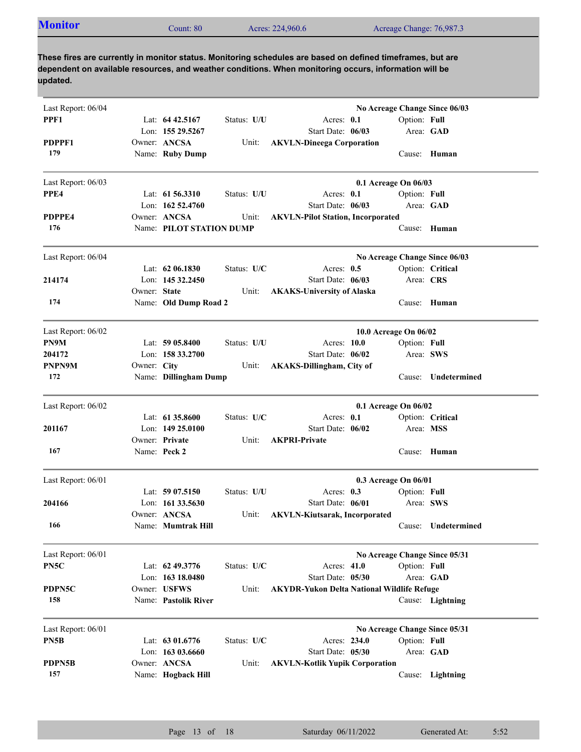| <b>Monitor</b> | Count: 80 | Acres: 224,960.6 | Acreage Change: 76,987.3 |
|----------------|-----------|------------------|--------------------------|
|                |           |                  |                          |

| Last Report: 06/04 |              |                          |             |                                                   | No Acreage Change Since 06/03 |                  |
|--------------------|--------------|--------------------------|-------------|---------------------------------------------------|-------------------------------|------------------|
| PPF1               |              | Lat: $64\,42.5167$       | Status: U/U | Acres: 0.1                                        | Option: Full                  |                  |
|                    |              | Lon: 155 29.5267         |             | Start Date: 06/03                                 |                               | Area: GAD        |
| PDPPF1             |              | Owner: ANCSA             | Unit:       | <b>AKVLN-Dineega Corporation</b>                  |                               |                  |
| 179                |              | Name: Ruby Dump          |             |                                                   |                               | Cause: Human     |
| Last Report: 06/03 |              |                          |             |                                                   | 0.1 Acreage On 06/03          |                  |
| PPE4               |              | Lat: $61\,56.3310$       | Status: U/U | Acres: 0.1                                        | Option: Full                  |                  |
|                    |              | Lon: $16252.4760$        |             | Start Date: 06/03                                 | Area: GAD                     |                  |
| PDPPE4             |              | Owner: ANCSA             | Unit:       | <b>AKVLN-Pilot Station, Incorporated</b>          |                               |                  |
| 176                |              | Name: PILOT STATION DUMP |             |                                                   |                               | Cause: Human     |
| Last Report: 06/04 |              |                          |             |                                                   | No Acreage Change Since 06/03 |                  |
|                    |              | Lat: 62 06.1830          | Status: U/C | Acres: $0.5$                                      |                               | Option: Critical |
| 214174             |              | Lon: 145 32.2450         |             | Start Date: 06/03                                 | Area: CRS                     |                  |
|                    | Owner: State |                          | Unit:       | <b>AKAKS-University of Alaska</b>                 |                               |                  |
| 174                |              | Name: Old Dump Road 2    |             |                                                   |                               | Cause: Human     |
| Last Report: 06/02 |              |                          |             |                                                   | 10.0 Acreage On 06/02         |                  |
| PN9M               |              | Lat: $5905.8400$         | Status: U/U | Acres: 10.0                                       | Option: Full                  |                  |
| 204172             |              | Lon: 158 33.2700         |             | Start Date: 06/02                                 | Area: SWS                     |                  |
| PNPN9M             | Owner: City  |                          | Unit:       | <b>AKAKS-Dillingham, City of</b>                  |                               |                  |
| 172                |              | Name: Dillingham Dump    |             |                                                   | Cause:                        | Undetermined     |
| Last Report: 06/02 |              |                          |             |                                                   | 0.1 Acreage On 06/02          |                  |
|                    |              | Lat: $61\,35.8600$       | Status: U/C | Acres: 0.1                                        |                               | Option: Critical |
| 201167             |              | Lon: $14925.0100$        |             | Start Date: 06/02                                 | Area: MSS                     |                  |
|                    |              | Owner: Private           | Unit:       | <b>AKPRI-Private</b>                              |                               |                  |
| 167                |              | Name: Peck 2             |             |                                                   |                               | Cause: Human     |
| Last Report: 06/01 |              |                          |             |                                                   | 0.3 Acreage On 06/01          |                  |
|                    |              | Lat: $5907.5150$         | Status: U/U | Acres: 0.3                                        | Option: Full                  |                  |
| 204166             |              | Lon: $16133.5630$        |             | Start Date: 06/01                                 | Area: SWS                     |                  |
|                    |              | Owner: ANCSA             | Unit:       | <b>AKVLN-Kiutsarak, Incorporated</b>              |                               |                  |
| 166                |              | Name: Mumtrak Hill       |             |                                                   | Cause:                        | Undetermined     |
| Last Report: 06/01 |              |                          |             |                                                   | No Acreage Change Since 05/31 |                  |
| PN5C               |              | Lat: 62 49.3776          | Status: U/C | Acres: 41.0                                       | Option: Full                  |                  |
|                    |              | Lon: 163 18.0480         |             | Start Date: 05/30                                 |                               | Area: GAD        |
| PDPN5C             |              | Owner: USFWS             | Unit:       | <b>AKYDR-Yukon Delta National Wildlife Refuge</b> |                               |                  |
| 158                |              | Name: Pastolik River     |             |                                                   |                               | Cause: Lightning |
| Last Report: 06/01 |              |                          |             |                                                   | No Acreage Change Since 05/31 |                  |
| PN5B               |              | Lat: 63 01.6776          | Status: U/C | Acres: 234.0                                      | Option: Full                  |                  |
|                    |              | Lon: 163 03.6660         |             | Start Date: 05/30                                 |                               | Area: GAD        |
| PDPN5B             |              | Owner: ANCSA             | Unit:       | <b>AKVLN-Kotlik Yupik Corporation</b>             |                               |                  |
| 157                |              | Name: Hogback Hill       |             |                                                   |                               | Cause: Lightning |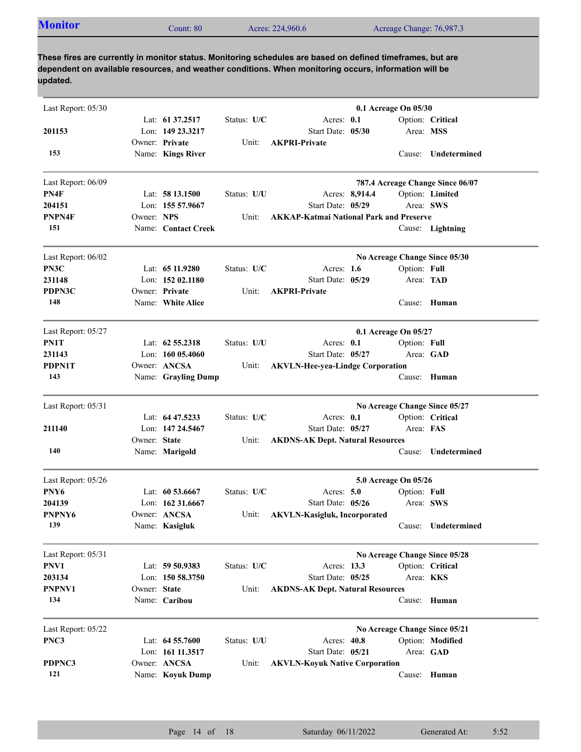|  | <b>Monitor</b><br>Count: $80^{\circ}$ | Acres: 224,960.6 | Acreage Change: 76,987.3 |
|--|---------------------------------------|------------------|--------------------------|
|--|---------------------------------------|------------------|--------------------------|

| Last Report: 05/30 |              |                     |             |                                                | 0.1 Acreage On 05/30          |              |                                  |
|--------------------|--------------|---------------------|-------------|------------------------------------------------|-------------------------------|--------------|----------------------------------|
|                    |              | Lat: 61 37.2517     | Status: U/C | Acres: 0.1                                     |                               |              | Option: Critical                 |
| 201153             |              | Lon: 149 23.3217    |             | Start Date: 05/30                              |                               | Area: MSS    |                                  |
|                    |              | Owner: Private      | Unit:       | <b>AKPRI-Private</b>                           |                               |              |                                  |
| 153                |              | Name: Kings River   |             |                                                |                               |              | Cause: Undetermined              |
| Last Report: 06/09 |              |                     |             |                                                |                               |              | 787.4 Acreage Change Since 06/07 |
| PN4F               |              | Lat: $5813.1500$    | Status: U/U | Acres: 8,914.4                                 |                               |              | Option: Limited                  |
| 204151             |              | Lon: 155 57.9667    |             | Start Date: 05/29                              |                               | Area: SWS    |                                  |
| PNPN4F             | Owner: NPS   |                     | Unit:       | <b>AKKAP-Katmai National Park and Preserve</b> |                               |              |                                  |
| 151                |              | Name: Contact Creek |             |                                                |                               |              | Cause: Lightning                 |
| Last Report: 06/02 |              |                     |             |                                                | No Acreage Change Since 05/30 |              |                                  |
| PN3C               |              | Lat: 65 11.9280     | Status: U/C | Acres: $1.6$                                   |                               | Option: Full |                                  |
| 231148             |              | Lon: 152 02.1180    |             | Start Date: 05/29                              |                               | Area: TAD    |                                  |
| PDPN3C             |              | Owner: Private      | Unit:       | <b>AKPRI-Private</b>                           |                               |              |                                  |
| 148                |              | Name: White Alice   |             |                                                |                               |              | Cause: Human                     |
| Last Report: 05/27 |              |                     |             |                                                | 0.1 Acreage On 05/27          |              |                                  |
| PN1T               |              | Lat: $62\,55.2318$  | Status: U/U | Acres: 0.1                                     |                               | Option: Full |                                  |
| 231143             |              | Lon: $16005.4060$   |             | Start Date: 05/27                              |                               | Area: GAD    |                                  |
| <b>PDPN1T</b>      |              | Owner: ANCSA        | Unit:       | <b>AKVLN-Hee-yea-Lindge Corporation</b>        |                               |              |                                  |
| 143                |              | Name: Grayling Dump |             |                                                |                               |              | Cause: Human                     |
| Last Report: 05/31 |              |                     |             |                                                | No Acreage Change Since 05/27 |              |                                  |
|                    |              | Lat: 64 47.5233     | Status: U/C | Acres: 0.1                                     |                               |              | Option: Critical                 |
| 211140             |              | Lon: 147 24.5467    |             | Start Date: 05/27                              |                               | Area: FAS    |                                  |
|                    | Owner: State |                     | Unit:       | <b>AKDNS-AK Dept. Natural Resources</b>        |                               |              |                                  |
| 140                |              | Name: Marigold      |             |                                                |                               | Cause:       | Undetermined                     |
| Last Report: 05/26 |              |                     |             |                                                | 5.0 Acreage On 05/26          |              |                                  |
| PNY6               |              | Lat: $60\,53.6667$  | Status: U/C | Acres: $5.0$                                   |                               | Option: Full |                                  |
| 204139             |              | Lon: 162 31.6667    |             | Start Date: 05/26                              |                               | Area: SWS    |                                  |
| PNPNY6             |              | Owner: ANCSA        | Unit:       | <b>AKVLN-Kasigluk, Incorporated</b>            |                               |              |                                  |
| 139                |              | Name: Kasigluk      |             |                                                |                               | Cause:       | Undetermined                     |
| Last Report: 05/31 |              |                     |             |                                                | No Acreage Change Since 05/28 |              |                                  |
| PNV1               |              | Lat: $59\,50.9383$  | Status: U/C | Acres: 13.3                                    |                               |              | Option: Critical                 |
| 203134             |              | Lon: $15058.3750$   |             | Start Date: 05/25                              |                               | Area: KKS    |                                  |
| PNPNV1             | Owner: State |                     | Unit:       | <b>AKDNS-AK Dept. Natural Resources</b>        |                               |              |                                  |
| 134                |              | Name: Caribou       |             |                                                |                               | Cause:       | Human                            |
| Last Report: 05/22 |              |                     |             |                                                | No Acreage Change Since 05/21 |              |                                  |
| PNC3               |              | Lat: 64 55.7600     | Status: U/U | Acres: 40.8                                    |                               |              | Option: Modified                 |
|                    |              | Lon: 161 11.3517    |             | Start Date: 05/21                              |                               |              | Area: GAD                        |
| PDPNC3             |              | Owner: ANCSA        | Unit:       | <b>AKVLN-Koyuk Native Corporation</b>          |                               |              |                                  |
| 121                |              | Name: Koyuk Dump    |             |                                                |                               |              | Cause: Human                     |
|                    |              |                     |             |                                                |                               |              |                                  |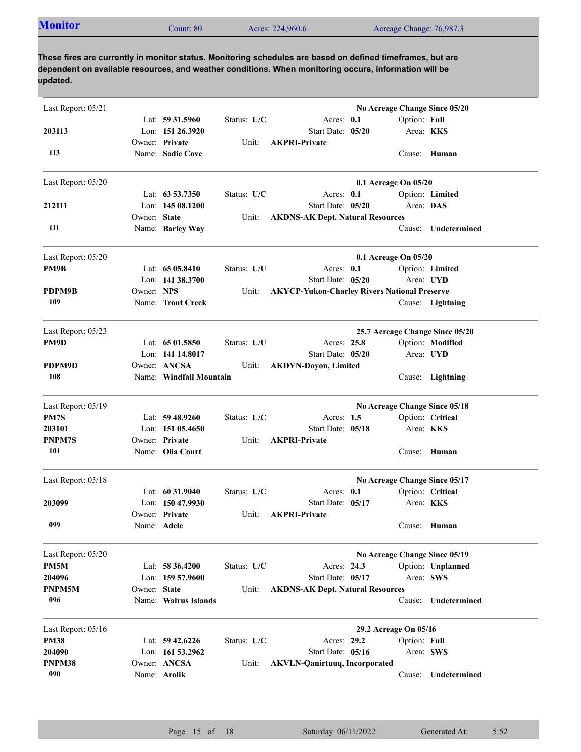| <b>Monitor</b><br>Acres: 224,960.6<br>Acreage Change: 76,987.3<br>Count: 80 |
|-----------------------------------------------------------------------------|
|-----------------------------------------------------------------------------|

| Lat: $59\,31.5960$<br>Status: U/C<br>Acres: $0.1$<br>Option: Full<br>Lon: 151 26.3920<br>203113<br>Start Date: 05/20<br>Area: <b>KKS</b><br>Owner: Private<br>Unit:<br><b>AKPRI-Private</b><br>Name: Sadie Cove<br>113<br>Cause: Human<br>0.1 Acreage On 05/20<br>Lat: $63\,53.7350$<br>Status: U/C<br>Acres: 0.1<br>Option: Limited<br>Area: DAS<br>Lon: $14508.1200$<br>Start Date: 05/20<br>Owner: State<br><b>AKDNS-AK Dept. Natural Resources</b><br>Unit:<br>111<br>Name: Barley Way<br><b>Undetermined</b><br>Cause:<br>0.1 Acreage On 05/20<br>Lat: $6505.8410$<br>Status: U/U<br>Acres: 0.1<br>Option: Limited<br>Start Date: 05/20<br>Lon: $141\,38.3700$<br>Area: UYD<br>PDPM9B<br>Owner: NPS<br><b>AKYCP-Yukon-Charley Rivers National Preserve</b><br>Unit:<br>109<br>Name: Trout Creek<br>Cause: Lightning<br>25.7 Acreage Change Since 05/20<br>Lat: $6501.5850$<br>Status: U/U<br>Acres: 25.8<br>Option: Modified<br>Lon: 141 14.8017<br>Start Date: 05/20<br>Area: UYD<br>Owner: ANCSA<br>Unit:<br><b>AKDYN-Doyon, Limited</b><br>108<br>Name: Windfall Mountain<br>Cause: Lightning<br>No Acreage Change Since 05/18<br>Status: U/C<br>Lat: $59\,48.9260$<br>Acres: $1.5$<br>Option: Critical<br>Start Date: 05/18<br>Lon: $15105.4650$<br>Area: <b>KKS</b><br>Owner: Private<br>Unit:<br><b>AKPRI-Private</b><br>101<br>Name: Olia Court<br>Human<br>Cause:<br>No Acreage Change Since 05/17<br>Lat: $60\,31.9040$<br>Status: U/C<br>Option: Critical<br>Acres: $0.1$<br>Lon: 150 47.9930<br>Start Date: 05/17<br>Area: <b>KKS</b><br>Owner: Private<br><b>AKPRI-Private</b><br>Unit:<br>099<br>Cause: Human<br>Name: <b>Adele</b><br>No Acreage Change Since 05/19<br>Status: U/C<br>Option: Unplanned<br>Lat: $58\,36.4200$<br>Acres: 24.3<br>Lon: 159 57.9600<br>Start Date: 05/17<br>Area: SWS<br>Owner: State<br><b>AKDNS-AK Dept. Natural Resources</b><br>Unit:<br>096<br>Name: Walrus Islands<br>Undetermined<br>Cause:<br>29.2 Acreage On 05/16<br>Status: U/C<br>Lat: $59\,42.6226$<br>Acres: 29.2<br>Option: Full<br>Start Date: 05/16<br>Lon: $161\,53.2962$<br>Area: SWS<br>Owner: ANCSA<br><b>AKVLN-Qanirtuuq, Incorporated</b><br>Unit:<br>090<br>Name: Arolik<br>Undetermined<br>Cause: | Last Report: 05/21 |  |  |  | No Acreage Change Since 05/20 |
|----------------------------------------------------------------------------------------------------------------------------------------------------------------------------------------------------------------------------------------------------------------------------------------------------------------------------------------------------------------------------------------------------------------------------------------------------------------------------------------------------------------------------------------------------------------------------------------------------------------------------------------------------------------------------------------------------------------------------------------------------------------------------------------------------------------------------------------------------------------------------------------------------------------------------------------------------------------------------------------------------------------------------------------------------------------------------------------------------------------------------------------------------------------------------------------------------------------------------------------------------------------------------------------------------------------------------------------------------------------------------------------------------------------------------------------------------------------------------------------------------------------------------------------------------------------------------------------------------------------------------------------------------------------------------------------------------------------------------------------------------------------------------------------------------------------------------------------------------------------------------------------------------------------------------------------------------------------------------------------------------------------------------------------------------------------------------------------------------------------------------------------------------------------------------------------------------------------------------|--------------------|--|--|--|-------------------------------|
|                                                                                                                                                                                                                                                                                                                                                                                                                                                                                                                                                                                                                                                                                                                                                                                                                                                                                                                                                                                                                                                                                                                                                                                                                                                                                                                                                                                                                                                                                                                                                                                                                                                                                                                                                                                                                                                                                                                                                                                                                                                                                                                                                                                                                            |                    |  |  |  |                               |
|                                                                                                                                                                                                                                                                                                                                                                                                                                                                                                                                                                                                                                                                                                                                                                                                                                                                                                                                                                                                                                                                                                                                                                                                                                                                                                                                                                                                                                                                                                                                                                                                                                                                                                                                                                                                                                                                                                                                                                                                                                                                                                                                                                                                                            |                    |  |  |  |                               |
|                                                                                                                                                                                                                                                                                                                                                                                                                                                                                                                                                                                                                                                                                                                                                                                                                                                                                                                                                                                                                                                                                                                                                                                                                                                                                                                                                                                                                                                                                                                                                                                                                                                                                                                                                                                                                                                                                                                                                                                                                                                                                                                                                                                                                            |                    |  |  |  |                               |
|                                                                                                                                                                                                                                                                                                                                                                                                                                                                                                                                                                                                                                                                                                                                                                                                                                                                                                                                                                                                                                                                                                                                                                                                                                                                                                                                                                                                                                                                                                                                                                                                                                                                                                                                                                                                                                                                                                                                                                                                                                                                                                                                                                                                                            | Last Report: 05/20 |  |  |  |                               |
|                                                                                                                                                                                                                                                                                                                                                                                                                                                                                                                                                                                                                                                                                                                                                                                                                                                                                                                                                                                                                                                                                                                                                                                                                                                                                                                                                                                                                                                                                                                                                                                                                                                                                                                                                                                                                                                                                                                                                                                                                                                                                                                                                                                                                            |                    |  |  |  |                               |
|                                                                                                                                                                                                                                                                                                                                                                                                                                                                                                                                                                                                                                                                                                                                                                                                                                                                                                                                                                                                                                                                                                                                                                                                                                                                                                                                                                                                                                                                                                                                                                                                                                                                                                                                                                                                                                                                                                                                                                                                                                                                                                                                                                                                                            | 212111             |  |  |  |                               |
|                                                                                                                                                                                                                                                                                                                                                                                                                                                                                                                                                                                                                                                                                                                                                                                                                                                                                                                                                                                                                                                                                                                                                                                                                                                                                                                                                                                                                                                                                                                                                                                                                                                                                                                                                                                                                                                                                                                                                                                                                                                                                                                                                                                                                            |                    |  |  |  |                               |
|                                                                                                                                                                                                                                                                                                                                                                                                                                                                                                                                                                                                                                                                                                                                                                                                                                                                                                                                                                                                                                                                                                                                                                                                                                                                                                                                                                                                                                                                                                                                                                                                                                                                                                                                                                                                                                                                                                                                                                                                                                                                                                                                                                                                                            |                    |  |  |  |                               |
|                                                                                                                                                                                                                                                                                                                                                                                                                                                                                                                                                                                                                                                                                                                                                                                                                                                                                                                                                                                                                                                                                                                                                                                                                                                                                                                                                                                                                                                                                                                                                                                                                                                                                                                                                                                                                                                                                                                                                                                                                                                                                                                                                                                                                            | Last Report: 05/20 |  |  |  |                               |
|                                                                                                                                                                                                                                                                                                                                                                                                                                                                                                                                                                                                                                                                                                                                                                                                                                                                                                                                                                                                                                                                                                                                                                                                                                                                                                                                                                                                                                                                                                                                                                                                                                                                                                                                                                                                                                                                                                                                                                                                                                                                                                                                                                                                                            | PM9B               |  |  |  |                               |
|                                                                                                                                                                                                                                                                                                                                                                                                                                                                                                                                                                                                                                                                                                                                                                                                                                                                                                                                                                                                                                                                                                                                                                                                                                                                                                                                                                                                                                                                                                                                                                                                                                                                                                                                                                                                                                                                                                                                                                                                                                                                                                                                                                                                                            |                    |  |  |  |                               |
|                                                                                                                                                                                                                                                                                                                                                                                                                                                                                                                                                                                                                                                                                                                                                                                                                                                                                                                                                                                                                                                                                                                                                                                                                                                                                                                                                                                                                                                                                                                                                                                                                                                                                                                                                                                                                                                                                                                                                                                                                                                                                                                                                                                                                            |                    |  |  |  |                               |
|                                                                                                                                                                                                                                                                                                                                                                                                                                                                                                                                                                                                                                                                                                                                                                                                                                                                                                                                                                                                                                                                                                                                                                                                                                                                                                                                                                                                                                                                                                                                                                                                                                                                                                                                                                                                                                                                                                                                                                                                                                                                                                                                                                                                                            |                    |  |  |  |                               |
|                                                                                                                                                                                                                                                                                                                                                                                                                                                                                                                                                                                                                                                                                                                                                                                                                                                                                                                                                                                                                                                                                                                                                                                                                                                                                                                                                                                                                                                                                                                                                                                                                                                                                                                                                                                                                                                                                                                                                                                                                                                                                                                                                                                                                            | Last Report: 05/23 |  |  |  |                               |
|                                                                                                                                                                                                                                                                                                                                                                                                                                                                                                                                                                                                                                                                                                                                                                                                                                                                                                                                                                                                                                                                                                                                                                                                                                                                                                                                                                                                                                                                                                                                                                                                                                                                                                                                                                                                                                                                                                                                                                                                                                                                                                                                                                                                                            | PM9D               |  |  |  |                               |
|                                                                                                                                                                                                                                                                                                                                                                                                                                                                                                                                                                                                                                                                                                                                                                                                                                                                                                                                                                                                                                                                                                                                                                                                                                                                                                                                                                                                                                                                                                                                                                                                                                                                                                                                                                                                                                                                                                                                                                                                                                                                                                                                                                                                                            |                    |  |  |  |                               |
|                                                                                                                                                                                                                                                                                                                                                                                                                                                                                                                                                                                                                                                                                                                                                                                                                                                                                                                                                                                                                                                                                                                                                                                                                                                                                                                                                                                                                                                                                                                                                                                                                                                                                                                                                                                                                                                                                                                                                                                                                                                                                                                                                                                                                            | PDPM9D             |  |  |  |                               |
|                                                                                                                                                                                                                                                                                                                                                                                                                                                                                                                                                                                                                                                                                                                                                                                                                                                                                                                                                                                                                                                                                                                                                                                                                                                                                                                                                                                                                                                                                                                                                                                                                                                                                                                                                                                                                                                                                                                                                                                                                                                                                                                                                                                                                            |                    |  |  |  |                               |
|                                                                                                                                                                                                                                                                                                                                                                                                                                                                                                                                                                                                                                                                                                                                                                                                                                                                                                                                                                                                                                                                                                                                                                                                                                                                                                                                                                                                                                                                                                                                                                                                                                                                                                                                                                                                                                                                                                                                                                                                                                                                                                                                                                                                                            | Last Report: 05/19 |  |  |  |                               |
|                                                                                                                                                                                                                                                                                                                                                                                                                                                                                                                                                                                                                                                                                                                                                                                                                                                                                                                                                                                                                                                                                                                                                                                                                                                                                                                                                                                                                                                                                                                                                                                                                                                                                                                                                                                                                                                                                                                                                                                                                                                                                                                                                                                                                            | PM7S               |  |  |  |                               |
|                                                                                                                                                                                                                                                                                                                                                                                                                                                                                                                                                                                                                                                                                                                                                                                                                                                                                                                                                                                                                                                                                                                                                                                                                                                                                                                                                                                                                                                                                                                                                                                                                                                                                                                                                                                                                                                                                                                                                                                                                                                                                                                                                                                                                            | 203101             |  |  |  |                               |
|                                                                                                                                                                                                                                                                                                                                                                                                                                                                                                                                                                                                                                                                                                                                                                                                                                                                                                                                                                                                                                                                                                                                                                                                                                                                                                                                                                                                                                                                                                                                                                                                                                                                                                                                                                                                                                                                                                                                                                                                                                                                                                                                                                                                                            | <b>PNPM7S</b>      |  |  |  |                               |
|                                                                                                                                                                                                                                                                                                                                                                                                                                                                                                                                                                                                                                                                                                                                                                                                                                                                                                                                                                                                                                                                                                                                                                                                                                                                                                                                                                                                                                                                                                                                                                                                                                                                                                                                                                                                                                                                                                                                                                                                                                                                                                                                                                                                                            |                    |  |  |  |                               |
|                                                                                                                                                                                                                                                                                                                                                                                                                                                                                                                                                                                                                                                                                                                                                                                                                                                                                                                                                                                                                                                                                                                                                                                                                                                                                                                                                                                                                                                                                                                                                                                                                                                                                                                                                                                                                                                                                                                                                                                                                                                                                                                                                                                                                            | Last Report: 05/18 |  |  |  |                               |
|                                                                                                                                                                                                                                                                                                                                                                                                                                                                                                                                                                                                                                                                                                                                                                                                                                                                                                                                                                                                                                                                                                                                                                                                                                                                                                                                                                                                                                                                                                                                                                                                                                                                                                                                                                                                                                                                                                                                                                                                                                                                                                                                                                                                                            |                    |  |  |  |                               |
|                                                                                                                                                                                                                                                                                                                                                                                                                                                                                                                                                                                                                                                                                                                                                                                                                                                                                                                                                                                                                                                                                                                                                                                                                                                                                                                                                                                                                                                                                                                                                                                                                                                                                                                                                                                                                                                                                                                                                                                                                                                                                                                                                                                                                            | 203099             |  |  |  |                               |
|                                                                                                                                                                                                                                                                                                                                                                                                                                                                                                                                                                                                                                                                                                                                                                                                                                                                                                                                                                                                                                                                                                                                                                                                                                                                                                                                                                                                                                                                                                                                                                                                                                                                                                                                                                                                                                                                                                                                                                                                                                                                                                                                                                                                                            |                    |  |  |  |                               |
|                                                                                                                                                                                                                                                                                                                                                                                                                                                                                                                                                                                                                                                                                                                                                                                                                                                                                                                                                                                                                                                                                                                                                                                                                                                                                                                                                                                                                                                                                                                                                                                                                                                                                                                                                                                                                                                                                                                                                                                                                                                                                                                                                                                                                            |                    |  |  |  |                               |
|                                                                                                                                                                                                                                                                                                                                                                                                                                                                                                                                                                                                                                                                                                                                                                                                                                                                                                                                                                                                                                                                                                                                                                                                                                                                                                                                                                                                                                                                                                                                                                                                                                                                                                                                                                                                                                                                                                                                                                                                                                                                                                                                                                                                                            | Last Report: 05/20 |  |  |  |                               |
|                                                                                                                                                                                                                                                                                                                                                                                                                                                                                                                                                                                                                                                                                                                                                                                                                                                                                                                                                                                                                                                                                                                                                                                                                                                                                                                                                                                                                                                                                                                                                                                                                                                                                                                                                                                                                                                                                                                                                                                                                                                                                                                                                                                                                            | PM5M               |  |  |  |                               |
|                                                                                                                                                                                                                                                                                                                                                                                                                                                                                                                                                                                                                                                                                                                                                                                                                                                                                                                                                                                                                                                                                                                                                                                                                                                                                                                                                                                                                                                                                                                                                                                                                                                                                                                                                                                                                                                                                                                                                                                                                                                                                                                                                                                                                            | 204096             |  |  |  |                               |
|                                                                                                                                                                                                                                                                                                                                                                                                                                                                                                                                                                                                                                                                                                                                                                                                                                                                                                                                                                                                                                                                                                                                                                                                                                                                                                                                                                                                                                                                                                                                                                                                                                                                                                                                                                                                                                                                                                                                                                                                                                                                                                                                                                                                                            | PNPM5M             |  |  |  |                               |
|                                                                                                                                                                                                                                                                                                                                                                                                                                                                                                                                                                                                                                                                                                                                                                                                                                                                                                                                                                                                                                                                                                                                                                                                                                                                                                                                                                                                                                                                                                                                                                                                                                                                                                                                                                                                                                                                                                                                                                                                                                                                                                                                                                                                                            |                    |  |  |  |                               |
|                                                                                                                                                                                                                                                                                                                                                                                                                                                                                                                                                                                                                                                                                                                                                                                                                                                                                                                                                                                                                                                                                                                                                                                                                                                                                                                                                                                                                                                                                                                                                                                                                                                                                                                                                                                                                                                                                                                                                                                                                                                                                                                                                                                                                            | Last Report: 05/16 |  |  |  |                               |
|                                                                                                                                                                                                                                                                                                                                                                                                                                                                                                                                                                                                                                                                                                                                                                                                                                                                                                                                                                                                                                                                                                                                                                                                                                                                                                                                                                                                                                                                                                                                                                                                                                                                                                                                                                                                                                                                                                                                                                                                                                                                                                                                                                                                                            | <b>PM38</b>        |  |  |  |                               |
|                                                                                                                                                                                                                                                                                                                                                                                                                                                                                                                                                                                                                                                                                                                                                                                                                                                                                                                                                                                                                                                                                                                                                                                                                                                                                                                                                                                                                                                                                                                                                                                                                                                                                                                                                                                                                                                                                                                                                                                                                                                                                                                                                                                                                            | 204090             |  |  |  |                               |
|                                                                                                                                                                                                                                                                                                                                                                                                                                                                                                                                                                                                                                                                                                                                                                                                                                                                                                                                                                                                                                                                                                                                                                                                                                                                                                                                                                                                                                                                                                                                                                                                                                                                                                                                                                                                                                                                                                                                                                                                                                                                                                                                                                                                                            | PNPM38             |  |  |  |                               |
|                                                                                                                                                                                                                                                                                                                                                                                                                                                                                                                                                                                                                                                                                                                                                                                                                                                                                                                                                                                                                                                                                                                                                                                                                                                                                                                                                                                                                                                                                                                                                                                                                                                                                                                                                                                                                                                                                                                                                                                                                                                                                                                                                                                                                            |                    |  |  |  |                               |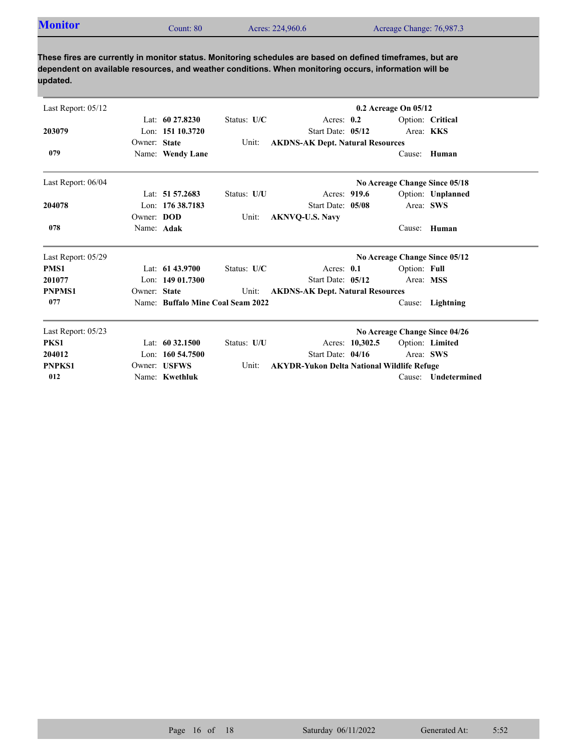| <b>Monitor</b> | Count: 80 | Acres: 224,960.6 | Acreage Change: 76,987.3 |
|----------------|-----------|------------------|--------------------------|
|                |           |                  |                          |

| Last Report: 05/12 |              |                      |                                   |                                                   |                 | 0.2 Acreage On 05/12 |                               |
|--------------------|--------------|----------------------|-----------------------------------|---------------------------------------------------|-----------------|----------------------|-------------------------------|
|                    |              | Lat: $6027.8230$     | Status: U/C                       | Acres: $0.2$                                      |                 |                      | Option: Critical              |
| 203079             |              | Lon: 151 10.3720     |                                   | Start Date: 05/12                                 |                 |                      | Area: KKS                     |
|                    | Owner: State |                      | Unit:                             | <b>AKDNS-AK Dept. Natural Resources</b>           |                 |                      |                               |
| 079                |              | Name: Wendy Lane     |                                   |                                                   |                 | Cause:               | Human                         |
| Last Report: 06/04 |              |                      |                                   |                                                   |                 |                      | No Acreage Change Since 05/18 |
|                    |              | Lat: 51 57.2683      | Status: U/U                       | Acres: 919.6                                      |                 |                      | Option: Unplanned             |
| 204078             |              | Lon: $17638.7183$    |                                   | Start Date: 05/08                                 |                 |                      | Area: SWS                     |
|                    | Owner: DOD   |                      | Unit:                             | <b>AKNVQ-U.S. Navy</b>                            |                 |                      |                               |
| 078                | Name: Adak   |                      |                                   |                                                   |                 |                      | Cause: Human                  |
| Last Report: 05/29 |              |                      |                                   |                                                   |                 |                      | No Acreage Change Since 05/12 |
| PMS1               |              | Lat: $6143.9700$     | Status: U/C                       | Acres: $0.1$                                      |                 | Option: Full         |                               |
| 201077             |              | Lon: $14901.7300$    |                                   | Start Date: 05/12                                 |                 | Area: MSS            |                               |
| <b>PNPMS1</b>      | Owner: State |                      | Unit:                             | <b>AKDNS-AK Dept. Natural Resources</b>           |                 |                      |                               |
| 077                |              |                      | Name: Buffalo Mine Coal Seam 2022 |                                                   |                 | Cause:               | Lightning                     |
| Last Report: 05/23 |              |                      |                                   |                                                   |                 |                      | No Acreage Change Since 04/26 |
| PKS1               |              | Lat: $60\,32.1500$   | Status: U/U                       |                                                   | Acres: 10,302.5 |                      | Option: Limited               |
| 204012             |              | Lon: $160, 54, 7500$ |                                   | Start Date: 04/16                                 |                 |                      | Area: SWS                     |
| <b>PNPKS1</b>      |              | Owner: USFWS         | Unit:                             | <b>AKYDR-Yukon Delta National Wildlife Refuge</b> |                 |                      |                               |
| 012                |              | Name: Kwethluk       |                                   |                                                   |                 | Cause:               | Undetermined                  |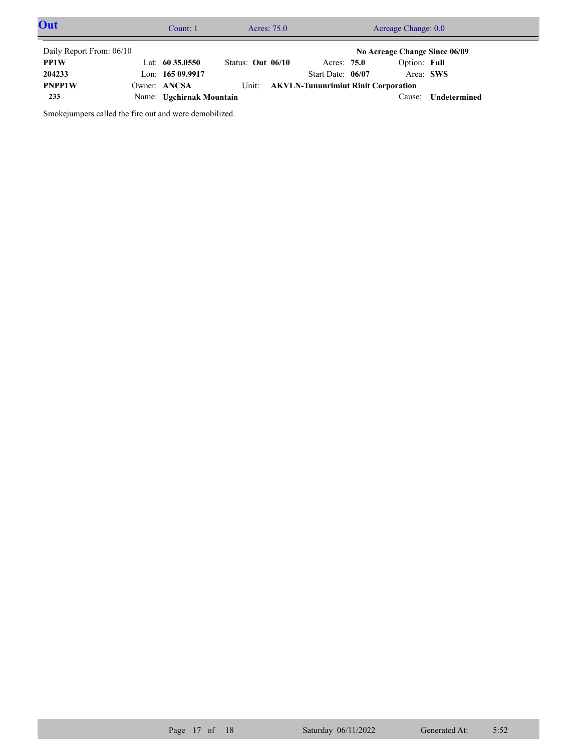| Out                      | Count: 1                 |                   |       | Acres: 75.0 |                                            | Acreage Change: 0.0           |              |  |
|--------------------------|--------------------------|-------------------|-------|-------------|--------------------------------------------|-------------------------------|--------------|--|
| Daily Report From: 06/10 |                          |                   |       |             |                                            | No Acreage Change Since 06/09 |              |  |
| <b>PP1W</b>              | Lat: $60\,35.0550$       | Status: Out 06/10 |       |             | Acres: 75.0                                | Option: Full                  |              |  |
| 204233                   | Lon: 165 09.9917         |                   |       |             | Start Date: 06/07                          | Area: SWS                     |              |  |
| <b>PNPP1W</b>            | Owner: ANCSA             |                   | Unit: |             | <b>AKVLN-Tununrimiut Rinit Corporation</b> |                               |              |  |
| 233                      | Name: Ugchirnak Mountain |                   |       |             |                                            | Cause:                        | Undetermined |  |

Smokejumpers called the fire out and were demobilized.